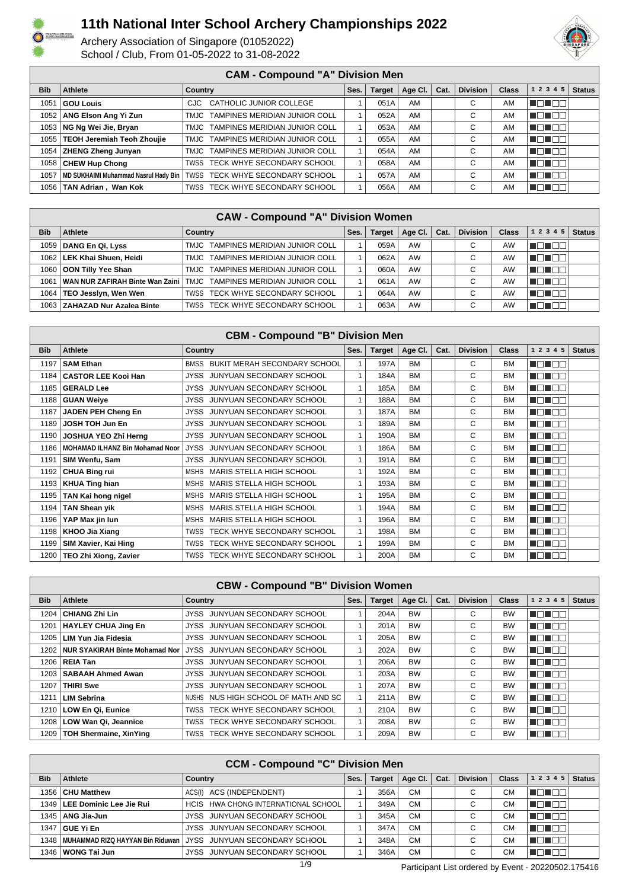

Archery Association of Singapore (01052022) School / Club, From 01-05-2022 to 31-08-2022



#### **CAM - Compound "A" Division Men**

| <b>Bib</b> | Athlete                              | Country                            | Ses. | <b>Target</b> | Age Cl. | Cat. | <b>Division</b> | <b>Class</b> | 1 2 3 4 5 | <b>Status</b> |  |  |
|------------|--------------------------------------|------------------------------------|------|---------------|---------|------|-----------------|--------------|-----------|---------------|--|--|
| 1051       | <b>GOU Louis</b>                     | CJC CATHOLIC JUNIOR COLLEGE        |      | 051A          | AM      |      | $\sim$<br>U     | AM           | TE TE     |               |  |  |
| 1052 l     | ANG Elson Ang Yi Zun                 | TMJC TAMPINES MERIDIAN JUNIOR COLL |      | 052A          | AM      |      | С               | AM           | TE TEE    |               |  |  |
|            | 1053 NG Ng Wei Jie, Bryan            | TMJC TAMPINES MERIDIAN JUNIOR COLL |      | 053A          | AM      |      | С               | AM           | TELER     |               |  |  |
|            | 1055   TEOH Jeremiah Teoh Zhoujie    | TMJC TAMPINES MERIDIAN JUNIOR COLL |      | 055A          | AM      |      | С               | AM           | T E E E E |               |  |  |
|            | 1054   ZHENG Zheng Junyan            | TMJC TAMPINES MERIDIAN JUNIOR COLL |      | 054A          | AM      |      | С               | AM           | NG NG 20  |               |  |  |
|            | 1058   CHEW Hup Chong                | TWSS TECK WHYE SECONDARY SCHOOL    |      | 058A          | AM      |      | С               | AM           | T FI TITL |               |  |  |
| 1057       | MD SUKHAIMI Muhammad Nasrul Hady Bin | TWSS TECK WHYE SECONDARY SCHOOL    |      | 057A          | AM      |      | $\sim$<br>U     | AM           | VE EEL    |               |  |  |
| 1056 l     | TAN Adrian, Wan Kok                  | TWSS TECK WHYE SECONDARY SCHOOL    |      | 056A          | AM      |      | $\sim$          | AM           | TELET     |               |  |  |

| <b>CAW - Compound "A" Division Women</b> |                                 |                                                                      |      |               |         |      |                 |              |                   |               |
|------------------------------------------|---------------------------------|----------------------------------------------------------------------|------|---------------|---------|------|-----------------|--------------|-------------------|---------------|
| <b>Bib</b>                               | Athlete                         | Country                                                              | Ses. | <b>Target</b> | Age Cl. | Cat. | <b>Division</b> | <b>Class</b> | 1 2 3 4 5         | <b>Status</b> |
| 1059                                     | DANG En Qi, Lyss                | TMJC TAMPINES MERIDIAN JUNIOR COLL                                   |      | 059A          | AW      |      | $\sim$          | AW           | ' TO TOO I        |               |
| 1062                                     | <b>LEK Khai Shuen, Heidi</b>    | TMJC TAMPINES MERIDIAN JUNIOR COLL                                   |      | 062A          | AW      |      | $\sim$<br>◡     | AW           | <u>TO EN S</u>    |               |
| 1060                                     | OON Tilly Yee Shan              | TMJC TAMPINES MERIDIAN JUNIOR COLL                                   |      | 060A          | AW      |      | $\sim$          | AW           | n an De           |               |
| 1061                                     |                                 | WAN NUR ZAFIRAH Binte Wan Zaini   TMJC TAMPINES MERIDIAN JUNIOR COLL |      | 061A          | AW      |      | $\sim$          | AW           | ' E E E S         |               |
| 1064                                     | TEO Jessiyn, Wen Wen            | TWSS TECK WHYE SECONDARY SCHOOL                                      |      | 064A          | AW      |      | $\sim$<br>◡     | AW           | 'TELEL            |               |
|                                          | 1063   ZAHAZAD Nur Azalea Binte | TWSS TECK WHYE SECONDARY SCHOOL                                      |      | 063A          | AW      |      | $\sim$          | AW           | IN TITLE<br>T FIF |               |

| <b>CBM - Compound "B" Division Men</b> |                                        |                                                |      |               |           |      |                 |              |               |               |  |
|----------------------------------------|----------------------------------------|------------------------------------------------|------|---------------|-----------|------|-----------------|--------------|---------------|---------------|--|
| <b>Bib</b>                             | <b>Athlete</b>                         | <b>Country</b>                                 | Ses. | <b>Target</b> | Age CI.   | Cat. | <b>Division</b> | <b>Class</b> | 1 2 3 4 5     | <b>Status</b> |  |
| 1197                                   | <b>SAM Ethan</b>                       | BMSS BUKIT MERAH SECONDARY SCHOOL              |      | 197A          | <b>BM</b> |      | C               | <b>BM</b>    | MEN EO        |               |  |
| 1184                                   | <b>CASTOR LEE Kooi Han</b>             | JUNYUAN SECONDARY SCHOOL<br><b>JYSS</b>        |      | 184A          | <b>BM</b> |      | C               | <b>BM</b>    | MA DEL P      |               |  |
| 1185                                   | <b>GERALD Lee</b>                      | JUNYUAN SECONDARY SCHOOL<br>JYSS               |      | 185A          | <b>BM</b> |      | C               | <b>BM</b>    | man ma        |               |  |
| 1188                                   | <b>GUAN Weive</b>                      | JUNYUAN SECONDARY SCHOOL<br><b>JYSS</b>        |      | 188A          | <b>BM</b> |      | C               | <b>BM</b>    | n din me      |               |  |
| 1187                                   | JADEN PEH Cheng En                     | JUNYUAN SECONDARY SCHOOL<br><b>JYSS</b>        |      | 187A          | <b>BM</b> |      | C               | <b>BM</b>    | MON DE        |               |  |
| 1189                                   | <b>JOSH TOH Jun En</b>                 | JUNYUAN SECONDARY SCHOOL<br><b>JYSS</b>        |      | 189A          | <b>BM</b> |      | C               | <b>BM</b>    | MA NA         |               |  |
| 1190                                   | JOSHUA YEO Zhi Herng                   | JUNYUAN SECONDARY SCHOOL<br><b>JYSS</b>        |      | 190A          | <b>BM</b> |      | C               | <b>BM</b>    | MEN E E       |               |  |
| 1186                                   | <b>MOHAMAD ILHANZ Bin Mohamad Noor</b> | <b>JYSS</b><br><b>JUNYUAN SECONDARY SCHOOL</b> |      | 186A          | <b>BM</b> |      | C               | <b>BM</b>    | Mahal Bila    |               |  |
| 1191                                   | SIM Wenfu, Sam                         | JUNYUAN SECONDARY SCHOOL<br><b>JYSS</b>        |      | 191A          | <b>BM</b> |      | C               | <b>BM</b>    | N NA NA NA    |               |  |
| 1192                                   | <b>CHUA Bing rui</b>                   | MSHS MARIS STELLA HIGH SCHOOL                  |      | 192A          | <b>BM</b> |      | C               | <b>BM</b>    | MA DEL P      |               |  |
|                                        | 1193   KHUA Ting hian                  | MSHS MARIS STELLA HIGH SCHOOL                  |      | 193A          | <b>BM</b> |      | C               | <b>BM</b>    | MON BE        |               |  |
| 1195                                   | TAN Kai hong nigel                     | MSHS MARIS STELLA HIGH SCHOOL                  |      | 195A          | <b>BM</b> |      | C               | <b>BM</b>    | NG NGC        |               |  |
| 1194                                   | <b>TAN Shean yik</b>                   | MSHS MARIS STELLA HIGH SCHOOL                  |      | 194A          | <b>BM</b> |      | C               | <b>BM</b>    | MON E E       |               |  |
| 1196                                   | YAP Max jin lun                        | MSHS MARIS STELLA HIGH SCHOOL                  |      | 196A          | <b>BM</b> |      | C               | <b>BM</b>    | <b>RATION</b> |               |  |
| 1198                                   | KHOO Jia Xiang                         | TWSS TECK WHYE SECONDARY SCHOOL                |      | 198A          | <b>BM</b> |      | C               | <b>BM</b>    | n nin nin     |               |  |
| 1199                                   | SIM Xavier, Kai Hing                   | TWSS TECK WHYE SECONDARY SCHOOL                |      | 199A          | <b>BM</b> |      | C               | <b>BM</b>    | n din me      |               |  |
|                                        | 1200   TEO Zhi Xiong, Zavier           | TWSS TECK WHYE SECONDARY SCHOOL                |      | 200A          | <b>BM</b> |      | C               | <b>BM</b>    | NON OO        |               |  |

| <b>Bib</b> | Athlete                          | <b>Country</b>                       | Ses. | <b>Target</b> | Age CI.   | Cat. | <b>Division</b> | <b>Class</b> | 1 2 3 4 5             | <b>Status</b> |
|------------|----------------------------------|--------------------------------------|------|---------------|-----------|------|-----------------|--------------|-----------------------|---------------|
|            | 1204   CHIANG Zhi Lin            | JYSS JUNYUAN SECONDARY SCHOOL        |      | 204A          | <b>BW</b> |      | С               | <b>BW</b>    | TOTT                  |               |
| 1201       | HAYLEY CHUA Jing En              | JYSS JUNYUAN SECONDARY SCHOOL        |      | 201A          | <b>BW</b> |      | С               | <b>BW</b>    | TE EE                 |               |
|            | 1205   LIM Yun Jia Fidesia       | JYSS JUNYUAN SECONDARY SCHOOL        |      | 205A          | <b>BW</b> |      | С               | <b>BW</b>    | AN DEN                |               |
| 1202 l     | NUR SYAKIRAH Binte Mohamad Nor I | JYSS JUNYUAN SECONDARY SCHOOL        |      | 202A          | <b>BW</b> |      | C               | <b>BW</b>    | NA NA TITO            |               |
|            | 1206   REIA Tan                  | JYSS JUNYUAN SECONDARY SCHOOL        |      | 206A          | <b>BW</b> |      | С               | <b>BW</b>    | TETER                 |               |
|            | 1203   SABAAH Ahmed Awan         | JYSS JUNYUAN SECONDARY SCHOOL        |      | 203A          | <b>BW</b> |      | С               | <b>BW</b>    | TOTOO                 |               |
| 1207 l     | <b>THIRI Swe</b>                 | JYSS JUNYUAN SECONDARY SCHOOL        |      | 207A          | <b>BW</b> |      | C               | <b>BW</b>    | N NATIONAL PROPERTY A |               |
| 1211       | <b>LIM Sebrina</b>               | NUSHS NUS HIGH SCHOOL OF MATH AND SC |      | 211A          | <b>BW</b> |      | C               | <b>BW</b>    | N N N N N             |               |
|            | 1210   LOW En Qi, Eunice         | TWSS TECK WHYE SECONDARY SCHOOL      |      | 210A          | <b>BW</b> |      | С               | <b>BW</b>    | n na m                |               |
|            | 1208   LOW Wan Qi, Jeannice      | TWSS TECK WHYE SECONDARY SCHOOL      |      | 208A          | <b>BW</b> |      | С               | <b>BW</b>    | N DI DE               |               |
| 1209 I     | <b>TOH Shermaine, XinYing</b>    | TWSS TECK WHYE SECONDARY SCHOOL      |      | 209A          | <b>BW</b> |      | C               | <b>BW</b>    | T FIF<br>H.           |               |

| <b>CCM - Compound "C" Division Men</b> |                                         |                                     |      |               |                 |      |          |              |                     |               |  |
|----------------------------------------|-----------------------------------------|-------------------------------------|------|---------------|-----------------|------|----------|--------------|---------------------|---------------|--|
| <b>Bib</b>                             | Athlete                                 | Country                             | Ses. | <b>Target</b> | Age Cl. $\vert$ | Cat. | Division | <b>Class</b> | 1 2 3 4 5           | <b>Status</b> |  |
|                                        | 1356   CHU Matthew                      | ACS(I) ACS (INDEPENDENT)            |      | 356A          | <b>CM</b>       |      | ⌒        | <b>CM</b>    | <u>'I dina</u>      |               |  |
|                                        | 1349   LEE Dominic Lee Jie Rui          | HCIS HWA CHONG INTERNATIONAL SCHOOL |      | 349A          | <b>CM</b>       |      | С        | CМ           | <u>FOTO T</u>       |               |  |
|                                        | $1345$   ANG Jia-Jun                    | JYSS JUNYUAN SECONDARY SCHOOL       |      | 345A          | <b>CM</b>       |      | С        | СM           | l En En E           |               |  |
| 1347                                   | '   GUE Yi En                           | JYSS JUNYUAN SECONDARY SCHOOL       |      | 347A          | <b>CM</b>       |      | C        | СM           | <u>Finish</u>       |               |  |
|                                        | 1348   MUHAMMAD RIZQ HAYYAN Bin Riduwan | JYSS JUNYUAN SECONDARY SCHOOL       |      | 348A          | <b>CM</b>       |      | С        | CМ           | <u> Linna San I</u> |               |  |
|                                        | 1346   <b>WONG Tai Jun</b>              | JYSS JUNYUAN SECONDARY SCHOOL       |      | 346A          | <b>CM</b>       |      | С        | СM           | VENTIL.             |               |  |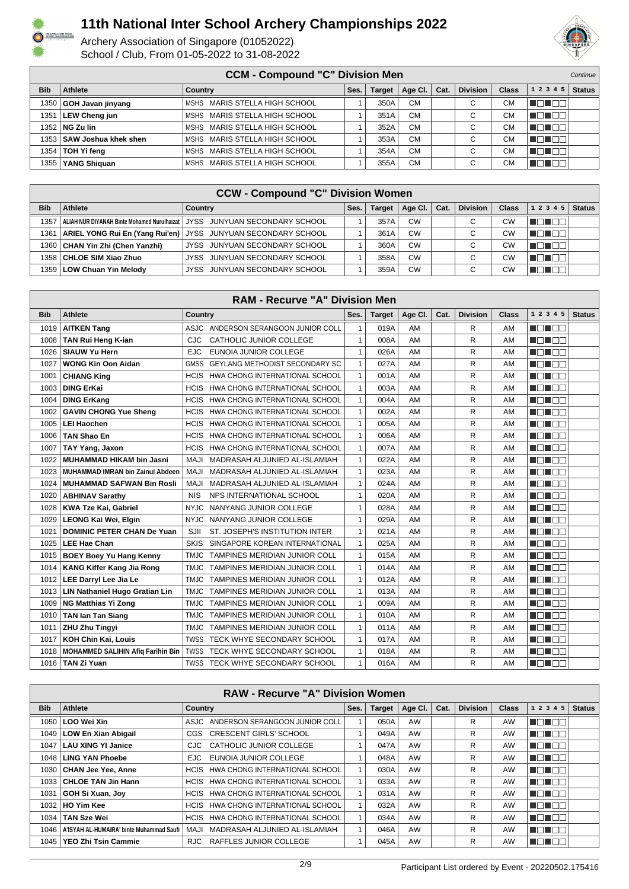

#### Archery Association of Singapore (01052022) School / Club, From 01-05-2022 to 31-08-2022



| <b>CCM - Compound "C" Division Men</b><br>Continue |                             |                               |      |        |           |      |                 |              |                  |               |
|----------------------------------------------------|-----------------------------|-------------------------------|------|--------|-----------|------|-----------------|--------------|------------------|---------------|
| <b>Bib</b>                                         | Athlete                     | Country                       | Ses. | Target | Age Cl.   | Cat. | <b>Division</b> | <b>Class</b> | 1 2 3 4 5        | <b>Status</b> |
| 1350                                               | GOH Javan jinyang           | MSHS MARIS STELLA HIGH SCHOOL |      | 350A   | <b>CM</b> |      | $\sim$          | <b>CM</b>    | <u>'I dinam.</u> |               |
| 1351                                               | LEW Cheng jun               | MSHS MARIS STELLA HIGH SCHOOL |      | 351A   | <b>CM</b> |      | C               | <b>CM</b>    | <u>FFITER</u>    |               |
|                                                    | 1352   NG Zu lin            | MSHS MARIS STELLA HIGH SCHOOL |      | 352A   | <b>CM</b> |      | С               | СM           | <u> Lindham.</u> |               |
|                                                    | 1353   SAW Joshua khek shen | MSHS MARIS STELLA HIGH SCHOOL |      | 353A   | <b>CM</b> |      | $\sim$          | <b>CM</b>    | UN DO            |               |
|                                                    | 1354   TOH Yi feng          | MSHS MARIS STELLA HIGH SCHOOL |      | 354A   | <b>CM</b> |      | C               | СM           | <u>FFFFFF</u>    |               |
| 1355 l                                             | YANG Shiguan                | MSHS MARIS STELLA HIGH SCHOOL |      | 355A   | <b>CM</b> |      | С               | СM           | <u> Johan</u>    |               |

#### **CCW - Compound "C" Division Women**

| <b>Bib</b> | Athlete                           | Country                                                                                     | Ses. | Target | Age Cl.   | Cat. | <b>Division</b> | <b>Class</b> | 1 2 3 4 5       | <b>Status</b> |  |  |
|------------|-----------------------------------|---------------------------------------------------------------------------------------------|------|--------|-----------|------|-----------------|--------------|-----------------|---------------|--|--|
| 1357       |                                   | ALIAH NUR DIYANAH Binte Mohamed Nurulhaizat   JYSS    JUNYUAN SECONDARY SCHOOL     المحادثة |      | 357A   | <b>CW</b> |      | $\sim$          | CW           | HE H            |               |  |  |
| 1361       |                                   | ARIEL YONG Rui En (Yang Rui'en)   JYSS JUNYUAN SECONDARY SCHOOL                             |      | 361A   | <b>CW</b> |      | $\sim$          | СW           | <u>in Finns</u> |               |  |  |
|            | 1360   CHAN Yin Zhi (Chen Yanzhi) | JYSS JUNYUAN SECONDARY SCHOOL                                                               |      | 360A   | <b>CW</b> |      | $\sim$          | СW           | TO T<br>T FIF   |               |  |  |
| 1358       | CHLOE SIM Xiao Zhuo               | JYSS JUNYUAN SECONDARY SCHOOL                                                               |      | 358A   | <b>CW</b> |      | С               | СW           | . .             |               |  |  |
|            | 1359   LOW Chuan Yin Melody       | JYSS JUNYUAN SECONDARY SCHOOL                                                               |      | 359A   | <b>CW</b> |      | $\sim$          | C٧           |                 |               |  |  |

| <b>RAM - Recurve "A" Division Men</b> |                                          |                                               |              |               |         |      |                 |       |           |               |  |
|---------------------------------------|------------------------------------------|-----------------------------------------------|--------------|---------------|---------|------|-----------------|-------|-----------|---------------|--|
| <b>Bib</b>                            | <b>Athlete</b>                           | Country                                       | Ses.         | <b>Target</b> | Age CI. | Cat. | <b>Division</b> | Class | 1 2 3 4 5 | <b>Status</b> |  |
| 1019                                  | <b>AITKEN Tang</b>                       | ASJC ANDERSON SERANGOON JUNIOR COLL           | 1            | 019A          | AM      |      | R               | AM    | MA MARIT  |               |  |
| 1008                                  | <b>TAN Rui Heng K-ian</b>                | CATHOLIC JUNIOR COLLEGE<br>CJC                | $\mathbf{1}$ | 008A          | AM      |      | R               | AM    | n din sin |               |  |
| 1026                                  | <b>SIAUW Yu Hern</b>                     | <b>EJC</b><br>EUNOIA JUNIOR COLLEGE           | $\mathbf{1}$ | 026A          | AM      |      | R               | AM    | n din Bis |               |  |
| 1027                                  | <b>WONG Kin Oon Aidan</b>                | <b>GEYLANG METHODIST SECONDARY SC</b><br>GMSS | $\mathbf{1}$ | 027A          | AM      |      | R               | AM    | n On Da   |               |  |
| 1001                                  | <b>CHIANG King</b>                       | HWA CHONG INTERNATIONAL SCHOOL<br>HCIS        | $\mathbf{1}$ | 001A          | AM      |      | R               | AM    | n din Bis |               |  |
| 1003                                  | <b>DING ErKai</b>                        | HCIS HWA CHONG INTERNATIONAL SCHOOL           | $\mathbf{1}$ | 003A          | AM      |      | R               | AM    | n din sin |               |  |
| 1004                                  | <b>DING ErKang</b>                       | <b>HCIS</b><br>HWA CHONG INTERNATIONAL SCHOOL | $\mathbf{1}$ | 004A          | AM      |      | R               | AM    | n din Ele |               |  |
| 1002                                  | <b>GAVIN CHONG Yue Sheng</b>             | HWA CHONG INTERNATIONAL SCHOOL<br><b>HCIS</b> | $\mathbf{1}$ | 002A          | AM      |      | R               | AM    | M D D D D |               |  |
| 1005                                  | <b>LEI Haochen</b>                       | <b>HCIS</b><br>HWA CHONG INTERNATIONAL SCHOOL | $\mathbf{1}$ | 005A          | AM      |      | R               | AM    | a da ba   |               |  |
| 1006                                  | <b>TAN Shao En</b>                       | HWA CHONG INTERNATIONAL SCHOOL<br><b>HCIS</b> | $\mathbf{1}$ | 006A          | AM      |      | R               | AM    | n din sin |               |  |
| 1007                                  | TAY Yang, Jaxon                          | <b>HCIS</b><br>HWA CHONG INTERNATIONAL SCHOOL | 1            | 007A          | AM      |      | R               | AM    | n din se  |               |  |
| 1022                                  | <b>MUHAMMAD HIKAM bin Jasni</b>          | ILAM<br>MADRASAH ALJUNIED AL-ISLAMIAH         | $\mathbf{1}$ | 022A          | AM      |      | R               | AM    | N EN EN   |               |  |
| 1023                                  | <b>MUHAMMAD IMRAN bin Zainul Abdeen</b>  | <b>MAJI</b><br>MADRASAH ALJUNIED AL-ISLAMIAH  | $\mathbf{1}$ | 023A          | AM      |      | R               | AM    | MA NA T   |               |  |
| 1024                                  | <b>MUHAMMAD SAFWAN Bin Rosli</b>         | <b>MAJI</b><br>MADRASAH ALJUNIED AL-ISLAMIAH  | 1            | 024A          | AM      |      | R               | AM    | n din Bib |               |  |
| 1020                                  | <b>ABHINAV Sarathy</b>                   | NPS INTERNATIONAL SCHOOL<br><b>NIS</b>        | $\mathbf{1}$ | 020A          | AM      |      | R               | AM    | N EN EN   |               |  |
| 1028                                  | <b>KWA Tze Kai, Gabriel</b>              | NANYANG JUNIOR COLLEGE<br><b>NYJC</b>         | $\mathbf{1}$ | 028A          | AM      |      | R               | AM    | MON DE    |               |  |
| 1029                                  | <b>LEONG Kai Wei, Elgin</b>              | NANYANG JUNIOR COLLEGE<br><b>NYJC</b>         | $\mathbf{1}$ | 029A          | AM      |      | R               | AM    | N TINT    |               |  |
| 1021                                  | <b>DOMINIC PETER CHAN De Yuan</b>        | ST. JOSEPH'S INSTITUTION INTER<br>SJII        | $\mathbf{1}$ | 021A          | AM      |      | R               | AM    | MA NA T   |               |  |
| 1025                                  | <b>LEE Hae Chan</b>                      | SKIS<br>SINGAPORE KOREAN INTERNATIONAL        | 1            | 025A          | AM      |      | R               | AM    | N EN EN   |               |  |
| 1015                                  | <b>BOEY Boey Yu Hang Kenny</b>           | TAMPINES MERIDIAN JUNIOR COLL<br>TMJC         | $\mathbf{1}$ | 015A          | AM      |      | R               | AM    | N EN EN   |               |  |
| 1014                                  | <b>KANG Kiffer Kang Jia Rong</b>         | TAMPINES MERIDIAN JUNIOR COLL<br>TMJC         | $\mathbf{1}$ | 014A          | AM      |      | R               | AM    | MA MARIT  |               |  |
| 1012                                  | <b>LEE Darryl Lee Jia Le</b>             | <b>TMJC</b><br>TAMPINES MERIDIAN JUNIOR COLL  | $\mathbf{1}$ | 012A          | AM      |      | R               | AM    | N EN EIS  |               |  |
| 1013                                  | LIN Nathaniel Hugo Gratian Lin           | TAMPINES MERIDIAN JUNIOR COLL<br>TMJC         | $\mathbf{1}$ | 013A          | AM      |      | R               | AM    | n din se  |               |  |
| 1009                                  | <b>NG Matthias Yi Zong</b>               | <b>TMJC</b><br>TAMPINES MERIDIAN JUNIOR COLL  | 1            | 009A          | AM      |      | R               | AM    | N ON BE   |               |  |
| 1010                                  | <b>TAN Ian Tan Siang</b>                 | <b>TAMPINES MERIDIAN JUNIOR COLL</b><br>TMJC  | $\mathbf{1}$ | 010A          | AM      |      | R               | AM    | N EN EIG  |               |  |
| 1011                                  | <b>ZHU Zhu Tingyi</b>                    | TAMPINES MERIDIAN JUNIOR COLL<br><b>TMJC</b>  | $\mathbf{1}$ | 011A          | AM      |      | R               | AM    | n din sin |               |  |
| 1017                                  | KOH Chin Kai, Louis                      | TWSS TECK WHYE SECONDARY SCHOOL               | $\mathbf{1}$ | 017A          | AM      |      | R               | AM    | n din se  |               |  |
| 1018                                  | <b>MOHAMMED SALIHIN Afig Farihin Bin</b> | TWSS<br>TECK WHYE SECONDARY SCHOOL            | $\mathbf{1}$ | 018A          | AM      |      | R               | AM    | N EN EN   |               |  |
|                                       | 1016   TAN Zi Yuan                       | TWSS TECK WHYE SECONDARY SCHOOL               | 1            | 016A          | AM      |      | R               | AM    | n din Ele |               |  |

#### **RAW - Recurve "A" Division Women**

| <b>Bib</b>       | Athlete                                         | Country                               | Ses. | Target | Age Cl.   | Cat. | <b>Division</b> | <b>Class</b> | 1 2 3 4<br>5 | <b>Status</b> |
|------------------|-------------------------------------------------|---------------------------------------|------|--------|-----------|------|-----------------|--------------|--------------|---------------|
| 1050             | ∣ LOO Wei Xin                                   | ASJC ANDERSON SERANGOON JUNIOR COLL   |      | 050A   | AW        |      | R               | AW           | N EN H       |               |
| 1049             | LOW En Xian Abigail                             | CGS CRESCENT GIRLS' SCHOOL            |      | 049A   | <b>AW</b> |      | R               | AW           | HE 1         |               |
| 1047             | LAU XING YI Janice                              | CJC CATHOLIC JUNIOR COLLEGE           |      | 047A   | AW        |      | R               | AW           | T FIF        |               |
| 1048             | LING YAN Phoebe                                 | EUNOIA JUNIOR COLLEGE<br>EJC.         |      | 048A   | AW        |      | R               | AW           | NA NA        |               |
| 1030             | CHAN Jee Yee, Anne                              | HCIS HWA CHONG INTERNATIONAL SCHOOL   |      | 030A   | AW        |      | R               | AW           | T ET         |               |
| 1033             | CHLOE TAN Jin Hann                              | HCIS HWA CHONG INTERNATIONAL SCHOOL   |      | 033A   | AW        |      | R               | AW           | a popular    |               |
| 1031             | GOH Si Xuan, Joy                                | HCIS HWA CHONG INTERNATIONAL SCHOOL   |      | 031A   | AW        |      | R               | AW           | N DI BIB     |               |
|                  | 1032   HO Yim Kee                               | HCIS HWA CHONG INTERNATIONAL SCHOOL   |      | 032A   | AW        |      | R               | AW           | N N N N N    |               |
| 1034             | <b>TAN Sze Wei</b>                              | HCIS HWA CHONG INTERNATIONAL SCHOOL   |      | 034A   | AW        |      | R               | AW           | AO T         |               |
|                  | 1046   A'ISYAH AL-HUMAIRA' binte Muhammad Saufi | MADRASAH ALJUNIED AL-ISLAMIAH<br>MAJI |      | 046A   | AW        |      | R               | AW           | ANT          |               |
| $1045 \text{ l}$ | <b>YEO Zhi Tsin Cammie</b>                      | RJC RAFFLES JUNIOR COLLEGE            |      | 045A   | <b>AW</b> |      | R               | AW           | T ET         |               |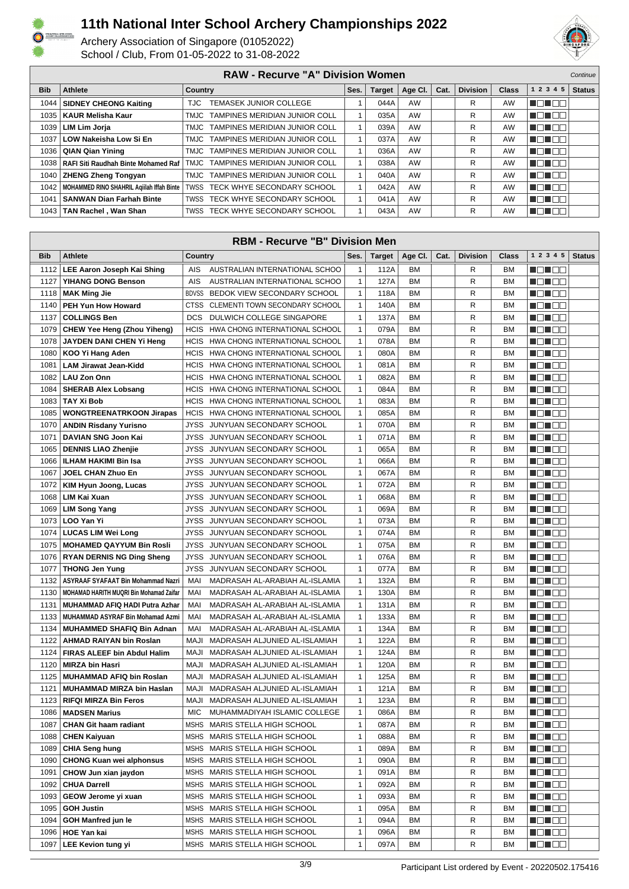



| <b>RAW - Recurve "A" Division Women</b><br>Continue |                                            |                                      |      |               |             |      |                 |              |             |        |  |
|-----------------------------------------------------|--------------------------------------------|--------------------------------------|------|---------------|-------------|------|-----------------|--------------|-------------|--------|--|
| <b>Bib</b>                                          | Athlete                                    | <b>Country</b>                       | Ses. | <b>Target</b> | Age Cl. $ $ | Cat. | <b>Division</b> | <b>Class</b> | 1 2 3 4 5   | Status |  |
| 1044                                                | <b>SIDNEY CHEONG Kaiting</b>               | <b>TEMASEK JUNIOR COLLEGE</b><br>TJC |      | 044A          | AW          |      | R               | AW           | N BIN BIN   |        |  |
| 1035                                                | KAUR Melisha Kaur                          | TMJC TAMPINES MERIDIAN JUNIOR COLL   |      | 035A          | AW          |      | R               | AW           | n din bibli |        |  |
| 1039                                                | LIM Lim Jorja                              | TMJC TAMPINES MERIDIAN JUNIOR COLL   |      | 039A          | AW          |      | R               | <b>AW</b>    | MON OO      |        |  |
| 1037 <sup>1</sup>                                   | LOW Nakeisha Low Si En                     | TMJC TAMPINES MERIDIAN JUNIOR COLL   |      | 037A          | AW          |      | R               | AW           | no noo      |        |  |
|                                                     | 1036   QIAN Qian Yining                    | TMJC TAMPINES MERIDIAN JUNIOR COLL   |      | 036A          | AW          |      | R               | <b>AW</b>    | N DI DE     |        |  |
|                                                     | 1038   RAFI Siti Raudhah Binte Mohamed Raf | TMJC TAMPINES MERIDIAN JUNIOR COLL   |      | 038A          | AW          |      | R               | AW           | N EN EN     |        |  |
| 1040                                                | <b>ZHENG Zheng Tongyan</b>                 | TMJC TAMPINES MERIDIAN JUNIOR COLL   |      | 040A          | AW          |      | R               | AW           | N DHE E     |        |  |
| 1042                                                | MOHAMMED RINO SHAHRIL Aqiilah Iffah Binte  | TWSS TECK WHYE SECONDARY SCHOOL      |      | 042A          | AW          |      | R               | AW           | NON OO      |        |  |
| 1041                                                | <b>SANWAN Dian Farhah Binte</b>            | TWSS TECK WHYE SECONDARY SCHOOL      |      | 041A          | AW          |      | R               | AW           | N BIN BIN   |        |  |
| 1043                                                | TAN Rachel, Wan Shan                       | TWSS TECK WHYE SECONDARY SCHOOL      |      | 043A          | AW          |      | R               | AW           | n din Ele   |        |  |

| <b>RBM - Recurve "B" Division Men</b> |                                                |             |                                     |              |               |           |      |                 |           |                    |               |
|---------------------------------------|------------------------------------------------|-------------|-------------------------------------|--------------|---------------|-----------|------|-----------------|-----------|--------------------|---------------|
| <b>Bib</b>                            | <b>Athlete</b>                                 | Country     |                                     | Ses.         | <b>Target</b> | Age Cl.   | Cat. | <b>Division</b> | Class     | 1 2 3 4 5          | <b>Status</b> |
| 1112                                  | LEE Aaron Joseph Kai Shing                     | AIS         | AUSTRALIAN INTERNATIONAL SCHOO      | $\mathbf{1}$ | 112A          | <b>BM</b> |      | R               | <b>BM</b> | HE HE H            |               |
| 1127                                  | YIHANG DONG Benson                             | <b>AIS</b>  | AUSTRALIAN INTERNATIONAL SCHOO      | $\mathbf{1}$ | 127A          | <b>BM</b> |      | R               | <b>BM</b> | MEN E E            |               |
| 1118                                  | <b>MAK Ming Jie</b>                            |             | BDVSS BEDOK VIEW SECONDARY SCHOOL   | $\mathbf{1}$ | 118A          | BM        |      | R               | <b>BM</b> | MEN E E            |               |
| 1140                                  | PEH Yun How Howard                             |             | CTSS CLEMENTI TOWN SECONDARY SCHOOL | $\mathbf{1}$ | 140A          | BM        |      | R               | <b>BM</b> | <u> Henri Bi</u>   |               |
| 1137                                  | <b>COLLINGS Ben</b>                            |             | DCS DULWICH COLLEGE SINGAPORE       | $\mathbf{1}$ | 137A          | <b>BM</b> |      | R               | <b>BM</b> | MEN DE             |               |
|                                       | 1079   CHEW Yee Heng (Zhou Yiheng)             |             | HCIS HWA CHONG INTERNATIONAL SCHOOL | $\mathbf{1}$ | 079A          | BM        |      | R               | <b>BM</b> | MOL 88             |               |
| 1078                                  | <b>JAYDEN DANI CHEN Yi Heng</b>                |             | HCIS HWA CHONG INTERNATIONAL SCHOOL | $\mathbf{1}$ | 078A          | <b>BM</b> |      | R               | <b>BM</b> | N ON OO            |               |
| 1080                                  | KOO Yi Hang Aden                               | <b>HCIS</b> | HWA CHONG INTERNATIONAL SCHOOL      | $\mathbf{1}$ | 080A          | ВM        |      | R               | <b>BM</b> | N EN EN            |               |
| 1081                                  | <b>LAM Jirawat Jean-Kidd</b>                   | <b>HCIS</b> | HWA CHONG INTERNATIONAL SCHOOL      | $\mathbf{1}$ | 081A          | <b>BM</b> |      | R               | <b>BM</b> | N DI BE            |               |
| 1082                                  | <b>LAU Zon Onn</b>                             | <b>HCIS</b> | HWA CHONG INTERNATIONAL SCHOOL      | $\mathbf{1}$ | 082A          | ВM        |      | R               | BM        | MO U O O           |               |
| 1084                                  | <b>SHERAB Alex Lobsang</b>                     | <b>HCIS</b> | HWA CHONG INTERNATIONAL SCHOOL      | $\mathbf{1}$ | 084A          | <b>BM</b> |      | R               | <b>BM</b> | HE 182             |               |
| 1083                                  | <b>TAY Xi Bob</b>                              | <b>HCIS</b> | HWA CHONG INTERNATIONAL SCHOOL      | $\mathbf{1}$ | 083A          | ВM        |      | R               | <b>BM</b> | MENTE E            |               |
| 1085                                  | <b>WONGTREENATRKOON Jirapas</b>                | <b>HCIS</b> | HWA CHONG INTERNATIONAL SCHOOL      | $\mathbf{1}$ | 085A          | BM        |      | R               | <b>BM</b> | MEN DE             |               |
| 1070                                  | <b>ANDIN Risdany Yurisno</b>                   |             | JYSS JUNYUAN SECONDARY SCHOOL       | $\mathbf{1}$ | 070A          | <b>BM</b> |      | R               | <b>BM</b> | MO MO W            |               |
| 1071                                  | DAVIAN SNG Joon Kai                            |             | JYSS JUNYUAN SECONDARY SCHOOL       | $\mathbf{1}$ | 071A          | BM        |      | R               | <b>BM</b> | HE 182             |               |
| 1065                                  | <b>DENNIS LIAO Zhenjie</b>                     | <b>JYSS</b> | JUNYUAN SECONDARY SCHOOL            | $\mathbf{1}$ | 065A          | <b>BM</b> |      | R               | BM        | MENTE E            |               |
| 1066                                  | ILHAM HAKIMI Bin Isa                           | <b>JYSS</b> | JUNYUAN SECONDARY SCHOOL            | $\mathbf{1}$ | 066A          | ВM        |      | R               | <b>BM</b> | N DI BE            |               |
| 1067                                  | <b>JOEL CHAN Zhuo En</b>                       | <b>JYSS</b> | JUNYUAN SECONDARY SCHOOL            | $\mathbf{1}$ | 067A          | BM        |      | R               | <b>BM</b> | MOL 88             |               |
| 1072                                  | KIM Hyun Joong, Lucas                          |             | JYSS JUNYUAN SECONDARY SCHOOL       | $\mathbf{1}$ | 072A          | <b>BM</b> |      | R               | BM        | N EN E E           |               |
| 1068                                  | LIM Kai Xuan                                   | JYSS        | JUNYUAN SECONDARY SCHOOL            | $\mathbf{1}$ | 068A          | BM        |      | R               | <b>BM</b> | e de la co         |               |
| 1069                                  | <b>LIM Song Yang</b>                           | JYSS        | JUNYUAN SECONDARY SCHOOL            | $\mathbf{1}$ | 069A          | <b>BM</b> |      | R               | <b>BM</b> | N DI BO            |               |
| 1073                                  | LOO Yan Yi                                     |             | JYSS JUNYUAN SECONDARY SCHOOL       | $\mathbf{1}$ | 073A          | BM        |      | R               | <b>BM</b> | MO MO W            |               |
| 1074                                  | <b>LUCAS LIM Wei Long</b>                      |             | JYSS JUNYUAN SECONDARY SCHOOL       | $\mathbf{1}$ | 074A          | <b>BM</b> |      | R               | <b>BM</b> | NO HOO             |               |
|                                       | 1075   MOHAMED QAYYUM Bin Rosli                |             | JYSS JUNYUAN SECONDARY SCHOOL       | $\mathbf{1}$ | 075A          | ВM        |      | R               | BM        | <u> Henri Bi</u>   |               |
|                                       | 1076   RYAN DERNIS NG Ding Sheng               | JYSS        | JUNYUAN SECONDARY SCHOOL            | $\mathbf{1}$ | 076A          | <b>BM</b> |      | R               | BM        | HE HE H            |               |
| 1077                                  | <b>THONG Jen Yung</b>                          | JYSS        | JUNYUAN SECONDARY SCHOOL            | $\mathbf{1}$ | 077A          | ВM        |      | R               | <b>BM</b> | Ma Mala            |               |
| 1132                                  | ASYRAAF SYAFAAT Bin Mohammad Nazri             | MAI         | MADRASAH AL-ARABIAH AL-ISLAMIA      | $\mathbf{1}$ | 132A          | <b>BM</b> |      | R               | <b>BM</b> | N EIN EIN          |               |
| 1130                                  | <b>MOHAMAD HARITH MUQRI Bin Mohamad Zaifar</b> | MAI         | MADRASAH AL-ARABIAH AL-ISLAMIA      | $\mathbf{1}$ | 130A          | <b>BM</b> |      | R               | <b>BM</b> | N E E E E          |               |
| 1131                                  | MUHAMMAD AFIQ HADI Putra Azhar                 | MAI         | MADRASAH AL-ARABIAH AL-ISLAMIA      | $\mathbf{1}$ | 131A          | ВM        |      | R               | <b>BM</b> | ______             |               |
| 1133                                  | MUHAMMAD ASYRAF Bin Mohamad Azmi               | MAI         | MADRASAH AL-ARABIAH AL-ISLAMIA      | $\mathbf{1}$ | 133A          | <b>BM</b> |      | R               | <b>BM</b> | MO HOO             |               |
| 1134                                  | <b>MUHAMMED SHAFIQ Bin Adnan</b>               | MAI         | MADRASAH AL-ARABIAH AL-ISLAMIA      | $\mathbf{1}$ | 134A          | BM        |      | R               | <b>BM</b> | N EN E E           |               |
| 1122                                  | AHMAD RAIYAN bin Roslan                        | MAJI        | MADRASAH ALJUNIED AL-ISLAMIAH       | $\mathbf{1}$ | 122A          | <b>BM</b> |      | R               | <b>BM</b> | e de la co         |               |
| 1124                                  | <b>FIRAS ALEEF bin Abdul Halim</b>             | MAJI        | MADRASAH ALJUNIED AL-ISLAMIAH       | $\mathbf{1}$ | 124A          | ВM        |      | R               | <b>BM</b> | - 8 - 8 -          |               |
| 1120                                  | <b>MIRZA bin Hasri</b>                         | MAJI        | MADRASAH ALJUNIED AL-ISLAMIAH       | $\mathbf{1}$ | 120A          | <b>BM</b> |      | R               | <b>BM</b> | MEN E E            |               |
| 1125                                  | <b>MUHAMMAD AFIQ bin Roslan</b>                | MAJI        | MADRASAH ALJUNIED AL-ISLAMIAH       | $\mathbf{1}$ | 125A          | ВM        |      | R               | <b>BM</b> | N EIN EIN          |               |
| 1121                                  | MUHAMMAD MIRZA bin Haslan                      | MAJI        | MADRASAH ALJUNIED AL-ISLAMIAH       | $\mathbf{1}$ | 121A          | BM        |      | R               | <b>BM</b> | HE 192             |               |
| 1123                                  | <b>RIFQI MIRZA Bin Feros</b>                   | MAJI        | MADRASAH ALJUNIED AL-ISLAMIAH       | $\mathbf{1}$ | 123A          | <b>BM</b> |      | $\mathsf{R}$    | <b>BM</b> | N O D O O          |               |
|                                       | 1086   MADSEN Marius                           | <b>MIC</b>  | MUHAMMADIYAH ISLAMIC COLLEGE        | 1            | 086A          | ВM        |      | R               | ВM        | Martin Sil         |               |
| 1087                                  | <b>CHAN Git haam radiant</b>                   |             | MSHS MARIS STELLA HIGH SCHOOL       | $\mathbf{1}$ | 087A          | BM        |      | R               | BM        | MON OO             |               |
| 1088                                  | <b>CHEN Kaiyuan</b>                            |             | MSHS MARIS STELLA HIGH SCHOOL       | 1            | 088A          | ВM        |      | R               | <b>BM</b> | NG NG PI           |               |
| 1089                                  | <b>CHIA Seng hung</b>                          |             | MSHS MARIS STELLA HIGH SCHOOL       | $\mathbf{1}$ | 089A          | BM        |      | R               | <b>BM</b> | <u> Heleta e</u>   |               |
| 1090                                  | <b>CHONG Kuan wei alphonsus</b>                |             | MSHS MARIS STELLA HIGH SCHOOL       | $\mathbf{1}$ | 090A          | <b>BM</b> |      | R               | <b>BM</b> | Martin Sil         |               |
| 1091                                  | CHOW Jun xian jaydon                           |             | MSHS MARIS STELLA HIGH SCHOOL       | 1            | 091A          | ВM        |      | R               | BM        | MO HOO             |               |
| 1092                                  | <b>CHUA Darrell</b>                            |             | MSHS MARIS STELLA HIGH SCHOOL       | $\mathbf{1}$ | 092A          | <b>BM</b> |      | R               | <b>BM</b> | N DI DE            |               |
| 1093                                  | GEOW Jerome yi xuan                            |             | MSHS MARIS STELLA HIGH SCHOOL       | 1            | 093A          | BM        |      | R               | <b>BM</b> | Mana a Ba          |               |
| 1095                                  | <b>GOH Justin</b>                              |             | MSHS MARIS STELLA HIGH SCHOOL       | $\mathbf{1}$ | 095A          | BM        |      | R               | <b>BM</b> | Ma Mac             |               |
| 1094                                  | <b>GOH Manfred jun le</b>                      |             | MSHS MARIS STELLA HIGH SCHOOL       | $\mathbf{1}$ | 094A          | ВM        |      | R               | ВM        | MEN DE             |               |
| 1096                                  | <b>HOE Yan kai</b>                             |             | MSHS MARIS STELLA HIGH SCHOOL       | 1            | 096A          | ВM        |      | R               | ВM        | <u>i di biblio</u> |               |
| 1097                                  | <b>LEE Kevion tung yi</b>                      |             | MSHS MARIS STELLA HIGH SCHOOL       | 1            | 097A          | ВM        |      | R               | <b>BM</b> | Mana a Ba          |               |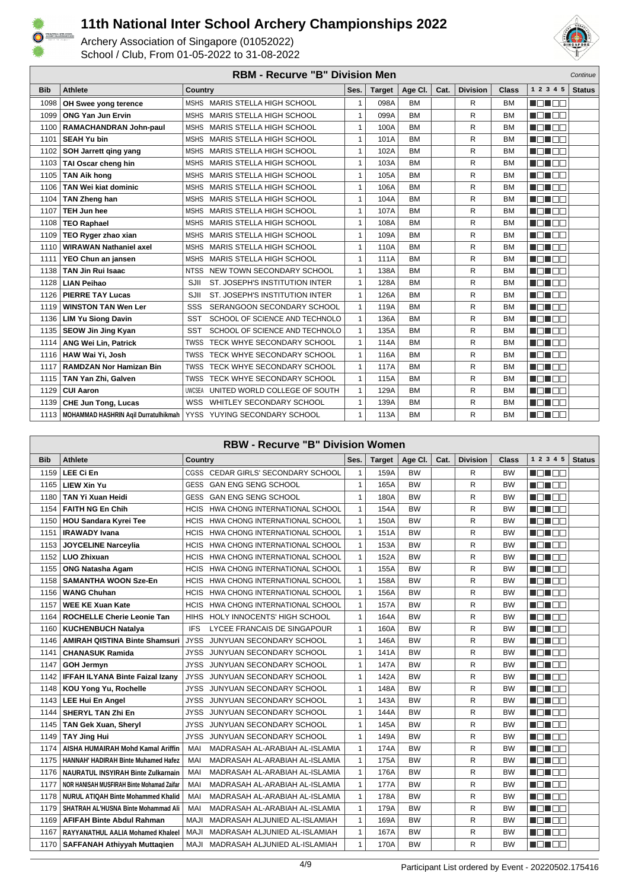



|            | <b>RBM - Recurve "B" Division Men</b><br>Continue |                                                |              |               |           |      |                 |           |              |               |  |
|------------|---------------------------------------------------|------------------------------------------------|--------------|---------------|-----------|------|-----------------|-----------|--------------|---------------|--|
| <b>Bib</b> | <b>Athlete</b>                                    | <b>Country</b>                                 | Ses.         | <b>Target</b> | Age Cl.   | Cat. | <b>Division</b> | Class     | 1 2 3 4 5    | <b>Status</b> |  |
| 1098       | OH Swee yong terence                              | MSHS MARIS STELLA HIGH SCHOOL                  | 1            | 098A          | <b>BM</b> |      | R               | <b>BM</b> | n na mats    |               |  |
| 1099       | <b>ONG Yan Jun Ervin</b>                          | MARIS STELLA HIGH SCHOOL<br><b>MSHS</b>        | $\mathbf{1}$ | 099A          | <b>BM</b> |      | R               | <b>BM</b> | n din Ele    |               |  |
| 1100       | RAMACHANDRAN John-paul                            | MARIS STELLA HIGH SCHOOL<br><b>MSHS</b>        | $\mathbf{1}$ | 100A          | <b>BM</b> |      | R               | <b>BM</b> | MA NA TITULI |               |  |
| 1101       | <b>SEAH Yu bin</b>                                | <b>MARIS STELLA HIGH SCHOOL</b><br><b>MSHS</b> | $\mathbf{1}$ | 101A          | <b>BM</b> |      | R               | <b>BM</b> | MA NATI      |               |  |
| 1102       | SOH Jarrett ging yang                             | MARIS STELLA HIGH SCHOOL<br><b>MSHS</b>        | $\mathbf{1}$ | 102A          | <b>BM</b> |      | R               | <b>BM</b> | n nin nin    |               |  |
| 1103       | TAI Oscar cheng hin                               | MARIS STELLA HIGH SCHOOL<br><b>MSHS</b>        | $\mathbf{1}$ | 103A          | <b>BM</b> |      | R               | <b>BM</b> | n din Ele    |               |  |
| 1105       | <b>TAN Aik hong</b>                               | MARIS STELLA HIGH SCHOOL<br><b>MSHS</b>        | $\mathbf{1}$ | 105A          | <b>BM</b> |      | R               | <b>BM</b> | M D D B B    |               |  |
| 1106       | <b>TAN Wei kiat dominic</b>                       | MARIS STELLA HIGH SCHOOL<br><b>MSHS</b>        | $\mathbf{1}$ | 106A          | <b>BM</b> |      | R               | <b>BM</b> | MA NA        |               |  |
| 1104       | TAN Zheng han                                     | MARIS STELLA HIGH SCHOOL<br><b>MSHS</b>        | $\mathbf{1}$ | 104A          | <b>BM</b> |      | R               | <b>BM</b> | MA MAR       |               |  |
| 1107       | <b>TEH Jun hee</b>                                | MARIS STELLA HIGH SCHOOL<br><b>MSHS</b>        | $\mathbf{1}$ | 107A          | <b>BM</b> |      | R               | <b>BM</b> | n din me     |               |  |
| 1108       | <b>TEO Raphael</b>                                | MARIS STELLA HIGH SCHOOL<br><b>MSHS</b>        | $\mathbf{1}$ | 108A          | <b>BM</b> |      | R               | <b>BM</b> | MA DA DA     |               |  |
| 1109       | TEO Ryger zhao xian                               | <b>MSHS</b><br>MARIS STELLA HIGH SCHOOL        | $\mathbf{1}$ | 109A          | <b>BM</b> |      | R               | <b>BM</b> | MA DEL       |               |  |
| 1110       | <b>WIRAWAN Nathaniel axel</b>                     | <b>MARIS STELLA HIGH SCHOOL</b><br><b>MSHS</b> | $\mathbf{1}$ | 110A          | <b>BM</b> |      | R               | <b>BM</b> | MA NA T      |               |  |
| 1111       | YEO Chun an jansen                                | <b>MARIS STELLA HIGH SCHOOL</b><br><b>MSHS</b> | $\mathbf{1}$ | 111A          | <b>BM</b> |      | R               | <b>BM</b> | n din bin    |               |  |
| 1138       | <b>TAN Jin Rui Isaac</b>                          | NEW TOWN SECONDARY SCHOOL<br><b>NTSS</b>       | $\mathbf{1}$ | 138A          | <b>BM</b> |      | R               | <b>BM</b> | MA MAT       |               |  |
| 1128       | <b>LIAN Peihao</b>                                | ST. JOSEPH'S INSTITUTION INTER<br>SJII         | $\mathbf{1}$ | 128A          | <b>BM</b> |      | R               | <b>BM</b> | MA DEL       |               |  |
| 1126       | <b>PIERRE TAY Lucas</b>                           | ST. JOSEPH'S INSTITUTION INTER<br>SJII         | $\mathbf{1}$ | 126A          | <b>BM</b> |      | R               | <b>BM</b> | MA MAR       |               |  |
| 1119       | <b>WINSTON TAN Wen Ler</b>                        | SSS<br>SERANGOON SECONDARY SCHOOL              | $\mathbf{1}$ | 119A          | <b>BM</b> |      | R               | <b>BM</b> | n din bin    |               |  |
| 1136       | <b>LIM Yu Siong Davin</b>                         | <b>SST</b><br>SCHOOL OF SCIENCE AND TECHNOLO   | $\mathbf{1}$ | 136A          | <b>BM</b> |      | R               | <b>BM</b> | MA MAR       |               |  |
| 1135       | <b>SEOW Jin Jing Kyan</b>                         | <b>SST</b><br>SCHOOL OF SCIENCE AND TECHNOLO   | $\mathbf{1}$ | 135A          | <b>BM</b> |      | R               | <b>BM</b> | MA MARIT     |               |  |
| 1114       | <b>ANG Wei Lin, Patrick</b>                       | <b>TWSS</b><br>TECK WHYE SECONDARY SCHOOL      | $\mathbf{1}$ | 114A          | <b>BM</b> |      | R               | <b>BM</b> | N EN EA      |               |  |
| 1116       | HAW Wai Yi, Josh                                  | TECK WHYE SECONDARY SCHOOL<br><b>TWSS</b>      | $\mathbf{1}$ | 116A          | <b>BM</b> |      | R               | <b>BM</b> | n din Ele    |               |  |
| 1117       | <b>RAMDZAN Nor Hamizan Bin</b>                    | TWSS TECK WHYE SECONDARY SCHOOL                | $\mathbf{1}$ | 117A          | <b>BM</b> |      | R               | <b>BM</b> | M DI BE      |               |  |
| 1115       | TAN Yan Zhi, Galven                               | <b>TWSS</b><br>TECK WHYE SECONDARY SCHOOL      | $\mathbf{1}$ | 115A          | <b>BM</b> |      | R               | <b>BM</b> | MA MARIT     |               |  |
| 1129       | <b>CUI Aaron</b>                                  | <b>UWCSEA</b><br>UNITED WORLD COLLEGE OF SOUTH | $\mathbf{1}$ | 129A          | <b>BM</b> |      | R               | <b>BM</b> | MEN E E      |               |  |
| 1139       | <b>CHE Jun Tong, Lucas</b>                        | WHITLEY SECONDARY SCHOOL<br><b>WSS</b>         | $\mathbf{1}$ | 139A          | <b>BM</b> |      | R               | <b>BM</b> | n din me     |               |  |
| 1113       | MOHAMMAD HASHRIN Agil Durratulhikmah              | YYSS YUYING SECONDARY SCHOOL                   | $\mathbf{1}$ | 113A          | <b>BM</b> |      | R               | <b>BM</b> | MON E E      |               |  |

|            | <b>RBW - Recurve "B" Division Women</b>    |                                               |              |               |           |      |                 |           |             |               |
|------------|--------------------------------------------|-----------------------------------------------|--------------|---------------|-----------|------|-----------------|-----------|-------------|---------------|
| <b>Bib</b> | <b>Athlete</b>                             | <b>Country</b>                                | Ses.         | <b>Target</b> | Age CI.   | Cat. | <b>Division</b> | Class     | 1 2 3 4 5   | <b>Status</b> |
| 1159       | <b>LEE Ci En</b>                           | CGSS CEDAR GIRLS' SECONDARY SCHOOL            | 1            | 159A          | <b>BW</b> |      | R               | <b>BW</b> | - 10 - 10 - |               |
| 1165       | LIEW Xin Yu                                | <b>GESS</b><br><b>GAN ENG SENG SCHOOL</b>     | 1            | 165A          | <b>BW</b> |      | R               | <b>BW</b> | MEN BE      |               |
| 1180       | <b>TAN Yi Xuan Heidi</b>                   | <b>GAN ENG SENG SCHOOL</b><br><b>GESS</b>     | $\mathbf{1}$ | 180A          | <b>BW</b> |      | R               | <b>BW</b> | MA DE       |               |
| 1154       | <b>FAITH NG En Chih</b>                    | <b>HCIS</b><br>HWA CHONG INTERNATIONAL SCHOOL | $\mathbf{1}$ | 154A          | <b>BW</b> |      | R               | <b>BW</b> | n na mats   |               |
| 1150       | <b>HOU Sandara Kyrei Tee</b>               | <b>HCIS</b><br>HWA CHONG INTERNATIONAL SCHOOL | $\mathbf{1}$ | 150A          | <b>BW</b> |      | R               | <b>BW</b> | MEN E E     |               |
| 1151       | <b>IRAWADY Ivana</b>                       | <b>HCIS</b><br>HWA CHONG INTERNATIONAL SCHOOL | 1            | 151A          | <b>BW</b> |      | R               | <b>BW</b> | N ON BE     |               |
| 1153       | <b>JOYCELINE Narceylia</b>                 | <b>HCIS</b><br>HWA CHONG INTERNATIONAL SCHOOL | 1            | 153A          | <b>BW</b> |      | R               | <b>BW</b> | MA NA       |               |
| 1152       | <b>LUO Zhixuan</b>                         | <b>HCIS</b><br>HWA CHONG INTERNATIONAL SCHOOL | $\mathbf{1}$ | 152A          | <b>BW</b> |      | R               | <b>BW</b> | n din sin   |               |
| 1155       | <b>ONG Natasha Agam</b>                    | HWA CHONG INTERNATIONAL SCHOOL<br><b>HCIS</b> | $\mathbf{1}$ | 155A          | BW        |      | R               | <b>BW</b> | n din se    |               |
| 1158       | <b>SAMANTHA WOON Sze-En</b>                | <b>HCIS</b><br>HWA CHONG INTERNATIONAL SCHOOL | $\mathbf{1}$ | 158A          | <b>BW</b> |      | R               | <b>BW</b> | M D D B B   |               |
| 1156       | <b>WANG Chuhan</b>                         | <b>HCIS</b><br>HWA CHONG INTERNATIONAL SCHOOL | $\mathbf{1}$ | 156A          | <b>BW</b> |      | R               | <b>BW</b> | N EN EIG    |               |
| 1157       | <b>WEE KE Xuan Kate</b>                    | <b>HCIS</b><br>HWA CHONG INTERNATIONAL SCHOOL | $\mathbf{1}$ | 157A          | <b>BW</b> |      | R               | <b>BW</b> | MEN E E     |               |
| 1164       | <b>ROCHELLE Cherie Leonie Tan</b>          | HOLY INNOCENTS' HIGH SCHOOL<br><b>HIHS</b>    | 1            | 164A          | BW        |      | R               | <b>BW</b> | MEN E E     |               |
| 1160       | KUCHENBUCH Natalya                         | <b>IFS</b><br>LYCEE FRANCAIS DE SINGAPOUR     | 1            | 160A          | <b>BW</b> |      | R               | <b>BW</b> | MEN E E     |               |
| 1146       | <b>AMIRAH QISTINA Binte Shamsuri</b>       | <b>JYSS</b><br>JUNYUAN SECONDARY SCHOOL       | $\mathbf{1}$ | 146A          | <b>BW</b> |      | R               | <b>BW</b> | MA NA       |               |
| 1141       | <b>CHANASUK Ramida</b>                     | <b>JYSS</b><br>JUNYUAN SECONDARY SCHOOL       | $\mathbf{1}$ | 141A          | <b>BW</b> |      | R               | <b>BW</b> | N EN EI EI  |               |
| 1147       | <b>GOH Jermyn</b>                          | JYSS JUNYUAN SECONDARY SCHOOL                 | 1            | 147A          | <b>BW</b> |      | R               | <b>BW</b> | n din se    |               |
| 1142       | <b>IFFAH ILYANA Binte Faizal Izany</b>     | <b>JYSS</b><br>JUNYUAN SECONDARY SCHOOL       | 1            | 142A          | <b>BW</b> |      | R               | <b>BW</b> | M DI BE     |               |
| 1148       | KOU Yong Yu, Rochelle                      | JUNYUAN SECONDARY SCHOOL<br><b>JYSS</b>       | $\mathbf{1}$ | 148A          | <b>BW</b> |      | R               | <b>BW</b> | MA DE       |               |
| 1143       | <b>LEE Hui En Angel</b>                    | <b>JYSS</b><br>JUNYUAN SECONDARY SCHOOL       | $\mathbf{1}$ | 143A          | <b>BW</b> |      | R               | <b>BW</b> | MEN E E     |               |
| 1144       | <b>SHERYL TAN Zhi En</b>                   | JUNYUAN SECONDARY SCHOOL<br><b>JYSS</b>       | 1            | 144A          | <b>BW</b> |      | R               | <b>BW</b> | MEN E E     |               |
| 1145       | TAN Gek Xuan, Sheryl                       | JUNYUAN SECONDARY SCHOOL<br>JYSS              | 1            | 145A          | <b>BW</b> |      | R               | <b>BW</b> | N ON BE     |               |
| 1149       | <b>TAY Jing Hui</b>                        | JYSS JUNYUAN SECONDARY SCHOOL                 | 1            | 149A          | <b>BW</b> |      | R               | <b>BW</b> | MA NA       |               |
| 1174       | AISHA HUMAIRAH Mohd Kamal Ariffin          | MAI<br>MADRASAH AL-ARABIAH AL-ISLAMIA         | $\mathbf{1}$ | 174A          | <b>BW</b> |      | R               | <b>BW</b> | n din sin   |               |
| 1175       | <b>HANNAH' HADIRAH Binte Muhamed Hafez</b> | MAI<br>MADRASAH AL-ARABIAH AL-ISLAMIA         | 1            | 175A          | <b>BW</b> |      | R               | <b>BW</b> | n din se    |               |
| 1176       | <b>NAURATUL INSYIRAH Binte Zulkarnain</b>  | MAI<br>MADRASAH AL-ARABIAH AL-ISLAMIA         | 1            | 176A          | <b>BW</b> |      | R               | <b>BW</b> | M DI BE     |               |
| 1177       | NOR HANISAH MUSFIRAH Binte Mohamad Zaifar  | MADRASAH AL-ARABIAH AL-ISLAMIA<br>MAI         | $\mathbf{1}$ | 177A          | <b>BW</b> |      | R               | <b>BW</b> | MA MARIT    |               |
| 1178       | <b>NURUL ATIQAH Binte Mohammed Khalid</b>  | MAI<br>MADRASAH AL-ARABIAH AL-ISLAMIA         | $\mathbf{1}$ | 178A          | <b>BW</b> |      | R               | <b>BW</b> | n din sin   |               |
| 1179       | SHATRAH AL'HUSNA Binte Mohammad Ali        | MAI<br>MADRASAH AL-ARABIAH AL-ISLAMIA         | 1            | 179A          | <b>BW</b> |      | R               | <b>BW</b> | MEN E E     |               |
| 1169       | <b>AFIFAH Binte Abdul Rahman</b>           | <b>MAJI</b><br>MADRASAH ALJUNIED AL-ISLAMIAH  | 1            | 169A          | <b>BW</b> |      | R               | <b>BW</b> | M DI BIB    |               |
| 1167       | RAYYANATHUL AALIA Mohamed Khaleel          | MADRASAH ALJUNIED AL-ISLAMIAH<br>MAJI         | $\mathbf{1}$ | 167A          | <b>BW</b> |      | R               | <b>BW</b> | MA NA T     |               |
| 1170       | <b>SAFFANAH Athiyyah Muttaqien</b>         | <b>MAJI</b><br>MADRASAH ALJUNIED AL-ISLAMIAH  | $\mathbf{1}$ | 170A          | <b>BW</b> |      | R               | <b>BW</b> | MEN E E     |               |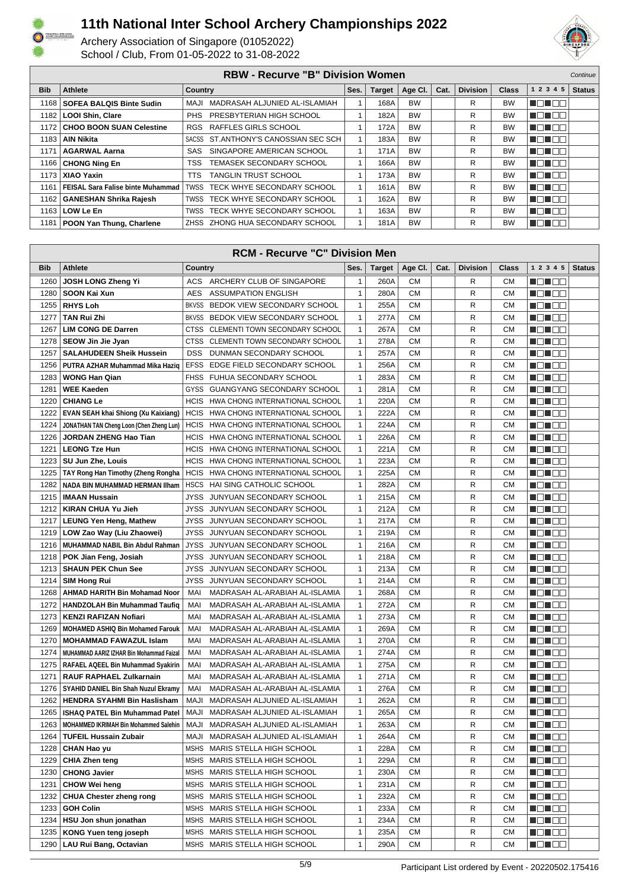



| <b>RBW - Recurve "B" Division Women</b> |                                          |                |                                      |      |               |           |      |                 |              | Continue     |               |
|-----------------------------------------|------------------------------------------|----------------|--------------------------------------|------|---------------|-----------|------|-----------------|--------------|--------------|---------------|
| <b>Bib</b>                              | Athlete                                  | <b>Country</b> |                                      | Ses. | <b>Target</b> | Age Cl.   | Cat. | <b>Division</b> | <b>Class</b> | 1 2 3 4 5    | <b>Status</b> |
| 1168                                    | <b>SOFEA BALQIS Binte Sudin</b>          | MAJI           | MADRASAH ALJUNIED AL-ISLAMIAH        |      | 168A          | <b>BW</b> |      | R               | <b>BW</b>    | N EN E E     |               |
|                                         | 1182   LOOI Shin, Clare                  |                | PHS PRESBYTERIAN HIGH SCHOOL         |      | 182A          | <b>BW</b> |      | R               | <b>BW</b>    | <b>TETER</b> |               |
|                                         | 1172   CHOO BOON SUAN Celestine          |                | RGS RAFFLES GIRLS SCHOOL             |      | 172A          | <b>BW</b> |      | R               | <b>BW</b>    | ME NE E      |               |
|                                         | 1183   AIN Nikita                        |                | SACSS ST.ANTHONY'S CANOSSIAN SEC SCH |      | 183A          | <b>BW</b> |      | R               | <b>BW</b>    | MON BE       |               |
| 1171                                    | <b>AGARWAL Aarna</b>                     |                | SAS SINGAPORE AMERICAN SCHOOL        |      | 171A          | <b>BW</b> |      | R               | <b>BW</b>    | MET E E      |               |
|                                         | 1166   CHONG Ning En                     | TSS.           | TEMASEK SECONDARY SCHOOL             |      | 166A          | <b>BW</b> |      | R               | <b>BW</b>    | n din se     |               |
| 1173                                    | <b>XIAO Yaxin</b>                        | TTS            | <b>TANGLIN TRUST SCHOOL</b>          |      | 173A          | <b>BW</b> |      | R               | <b>BW</b>    | ME NE E      |               |
| 1161                                    | <b>FEISAL Sara Falise binte Muhammad</b> | TWSS           | TECK WHYE SECONDARY SCHOOL           |      | 161A          | <b>BW</b> |      | R               | <b>BW</b>    | MA NA TITO   |               |
|                                         | 1162   GANESHAN Shrika Rajesh            |                | TWSS TECK WHYE SECONDARY SCHOOL      |      | 162A          | <b>BW</b> |      | R               | <b>BW</b>    | MET E E      |               |
|                                         | 1163   LOW Le En                         |                | TWSS TECK WHYE SECONDARY SCHOOL      |      | 163A          | <b>BW</b> |      | R               | <b>BW</b>    | n din bibli  |               |
|                                         | 1181   POON Yan Thung, Charlene          |                | ZHSS ZHONG HUA SECONDARY SCHOOL      |      | 181A          | <b>BW</b> |      | R               | <b>BW</b>    | MEN E E      |               |

| <b>RCM - Recurve "C" Division Men</b> |                                              |                |                                     |              |               |           |      |                 |           |                      |               |
|---------------------------------------|----------------------------------------------|----------------|-------------------------------------|--------------|---------------|-----------|------|-----------------|-----------|----------------------|---------------|
| <b>Bib</b>                            | <b>Athlete</b>                               | <b>Country</b> |                                     | Ses.         | <b>Target</b> | Age CI.   | Cat. | <b>Division</b> | Class     | 1 2 3 4 5            | <b>Status</b> |
| 1260                                  | JOSH LONG Zheng Yi                           |                | ACS ARCHERY CLUB OF SINGAPORE       | 1            | 260A          | <b>CM</b> |      | R               | <b>CM</b> | N E N E E            |               |
| 1280                                  | SOON Kai Xun                                 | <b>AES</b>     | <b>ASSUMPATION ENGLISH</b>          | 1            | 280A          | <b>CM</b> |      | R               | <b>CM</b> | n On Da              |               |
| 1255                                  | <b>RHYS Loh</b>                              | <b>BKVSS</b>   | BEDOK VIEW SECONDARY SCHOOL         | 1            | 255A          | <b>CM</b> |      | R               | <b>CM</b> | N EN EN              |               |
| 1277                                  | <b>TAN Rui Zhi</b>                           |                | BKVSS BEDOK VIEW SECONDARY SCHOOL   | $\mathbf{1}$ | 277A          | <b>CM</b> |      | R               | <b>CM</b> | N DI BE              |               |
| 1267                                  | <b>LIM CONG DE Darren</b>                    |                | CTSS CLEMENTI TOWN SECONDARY SCHOOL | $\mathbf{1}$ | 267A          | <b>CM</b> |      | R               | <b>CM</b> | ME NE E              |               |
| 1278                                  | SEOW Jin Jie Jyan                            | CTSS           | CLEMENTI TOWN SECONDARY SCHOOL      | $\mathbf{1}$ | 278A          | <b>CM</b> |      | R               | <b>CM</b> | MO NO O              |               |
| 1257                                  | <b>SALAHUDEEN Sheik Hussein</b>              | <b>DSS</b>     | DUNMAN SECONDARY SCHOOL             | $\mathbf{1}$ | 257A          | <b>CM</b> |      | R               | <b>CM</b> | N EN EN              |               |
| 1256                                  | PUTRA AZHAR Muhammad Mika Haziq              | <b>EFSS</b>    | EDGE FIELD SECONDARY SCHOOL         | $\mathbf{1}$ | 256A          | <b>CM</b> |      | R               | <b>CM</b> | N DI BE              |               |
| 1283                                  | <b>WONG Han Qian</b>                         |                | FHSS FUHUA SECONDARY SCHOOL         | $\mathbf{1}$ | 283A          | <b>CM</b> |      | R               | <b>CM</b> | N EN EN              |               |
| 1281                                  | <b>WEE Kaeden</b>                            | GYSS           | GUANGYANG SECONDARY SCHOOL          | 1            | 281A          | <b>CM</b> |      | R               | <b>CM</b> | N EN EL              |               |
| 1220                                  | <b>CHIANG Le</b>                             | <b>HCIS</b>    | HWA CHONG INTERNATIONAL SCHOOL      | 1            | 220A          | <b>CM</b> |      | R               | <b>CM</b> | n din se             |               |
| 1222                                  | EVAN SEAH khai Shiong (Xu Kaixiang)          | <b>HCIS</b>    | HWA CHONG INTERNATIONAL SCHOOL      | 1            | 222A          | <b>CM</b> |      | R               | <b>CM</b> | N DI DE              |               |
| 1224                                  | JONATHAN TAN Cheng Loon (Chen Zheng Lun)     | <b>HCIS</b>    | HWA CHONG INTERNATIONAL SCHOOL      | $\mathbf{1}$ | 224A          | <b>CM</b> |      | R               | <b>CM</b> | ME NE E              |               |
| 1226                                  | JORDAN ZHENG Hao Tian                        | <b>HCIS</b>    | HWA CHONG INTERNATIONAL SCHOOL      | $\mathbf{1}$ | 226A          | <b>CM</b> |      | R               | <b>CM</b> | MO NO O              |               |
| 1221                                  | <b>LEONG Tze Hun</b>                         | <b>HCIS</b>    | HWA CHONG INTERNATIONAL SCHOOL      | $\mathbf{1}$ | 221A          | <b>CM</b> |      | R               | <b>CM</b> | <u> List is s</u>    |               |
| 1223                                  | SU Jun Zhe, Louis                            | <b>HCIS</b>    | HWA CHONG INTERNATIONAL SCHOOL      | $\mathbf{1}$ | 223A          | <b>CM</b> |      | R               | <b>CM</b> | man ma               |               |
| 1225                                  | TAY Rong Han Timothy (Zheng Rongha           | <b>HCIS</b>    | HWA CHONG INTERNATIONAL SCHOOL      | 1            | 225A          | <b>CM</b> |      | R               | <b>CM</b> | N EN ELE             |               |
| 1282                                  | NADA BIN MUHAMMAD HERMAN IIham               | <b>HSCS</b>    | HAI SING CATHOLIC SCHOOL            | $\mathbf{1}$ | 282A          | <b>CM</b> |      | R               | <b>CM</b> | n On Da              |               |
| 1215                                  | <b>IMAAN Hussain</b>                         | JYSS           | JUNYUAN SECONDARY SCHOOL            | $\mathbf{1}$ | 215A          | <b>CM</b> |      | R               | <b>CM</b> | N EN EN              |               |
| 1212                                  | <b>KIRAN CHUA Yu Jieh</b>                    | JYSS           | JUNYUAN SECONDARY SCHOOL            | 1            | 212A          | СM        |      | R               | <b>CM</b> | N DI DE              |               |
| 1217                                  | <b>LEUNG Yen Heng, Mathew</b>                | JYSS           | JUNYUAN SECONDARY SCHOOL            | 1            | 217A          | <b>CM</b> |      | R               | <b>CM</b> | ME NE E              |               |
| 1219                                  | LOW Zao Way (Liu Zhaowei)                    | JYSS           | JUNYUAN SECONDARY SCHOOL            | $\mathbf{1}$ | 219A          | <b>CM</b> |      | R               | <b>CM</b> | N EN E E             |               |
| 1216                                  | MUHAMMAD NABIL Bin Abdul Rahman              | JYSS           | JUNYUAN SECONDARY SCHOOL            | $\mathbf{1}$ | 216A          | <b>CM</b> |      | R               | <b>CM</b> | N O N O O            |               |
| 1218                                  | POK Jian Feng, Josiah                        | JYSS           | JUNYUAN SECONDARY SCHOOL            | $\mathbf{1}$ | 218A          | <b>CM</b> |      | R               | <b>CM</b> | MEN DE               |               |
| 1213                                  | SHAUN PEK Chun See                           |                | JYSS JUNYUAN SECONDARY SCHOOL       | 1            | 213A          | <b>CM</b> |      | R               | <b>CM</b> | MON OO               |               |
| 1214                                  | <b>SIM Hong Rui</b>                          |                | JYSS JUNYUAN SECONDARY SCHOOL       | $\mathbf{1}$ | 214A          | <b>CM</b> |      | R               | <b>CM</b> | NET EE               |               |
| 1268                                  | <b>AHMAD HARITH Bin Mohamad Noor</b>         | MAI            | MADRASAH AL-ARABIAH AL-ISLAMIA      | 1            | 268A          | <b>CM</b> |      | R               | <b>CM</b> | N EN E E             |               |
| 1272                                  | <b>HANDZOLAH Bin Muhammad Taufig</b>         | MAI            | MADRASAH AL-ARABIAH AL-ISLAMIA      | 1            | 272A          | <b>CM</b> |      | R               | <b>CM</b> | N EN EI EI           |               |
| 1273                                  | <b>KENZI RAFIZAN Nofiari</b>                 | MAI            | MADRASAH AL-ARABIAH AL-ISLAMIA      | 1            | 273A          | <b>CM</b> |      | R               | <b>CM</b> | N EN EN              |               |
| 1269                                  | <b>MOHAMED ASHIQ Bin Mohamed Farouk</b>      | MAI            | MADRASAH AL-ARABIAH AL-ISLAMIA      | $\mathbf{1}$ | 269A          | <b>CM</b> |      | R               | <b>CM</b> | N EN EL              |               |
| 1270                                  | <b>MOHAMMAD FAWAZUL Islam</b>                | MAI            | MADRASAH AL-ARABIAH AL-ISLAMIA      | $\mathbf{1}$ | 270A          | <b>CM</b> |      | R               | <b>CM</b> | N EN EN              |               |
| 1274                                  | MUHAMMAD AARIZ IZHAR Bin Mohammad Faizal     | MAI            | MADRASAH AL-ARABIAH AL-ISLAMIA      | $\mathbf{1}$ | 274A          | <b>CM</b> |      | R               | <b>CM</b> | Ma Mala              |               |
| 1275                                  | <b>RAFAEL AQEEL Bin Muhammad Syakirin</b>    | MAI            | MADRASAH AL-ARABIAH AL-ISLAMIA      | $\mathbf{1}$ | 275A          | <b>CM</b> |      | R               | <b>CM</b> | ME NE E              |               |
| 1271                                  | <b>RAUF RAPHAEL Zulkarnain</b>               | MAI            | MADRASAH AL-ARABIAH AL-ISLAMIA      | 1            | 271A          | <b>CM</b> |      | R               | <b>CM</b> | MON OO               |               |
| 1276                                  | SYAHID DANIEL Bin Shah Nuzul Ekramy          | MAI            | MADRASAH AL-ARABIAH AL-ISLAMIA      | 1            | 276A          | <b>CM</b> |      | R               | <b>CM</b> | _______              |               |
| 1262                                  | <b>HENDRA SYAHMI Bin Haslisham</b>           | NAJI           | MADRASAH ALJUNIED AL-ISLAMIAH       | $\mathbf{1}$ | 262A          | <b>CM</b> |      | R               | <b>CM</b> | MONDER               |               |
| 1265                                  | <b>ISHAQ PATEL Bin Muhammad Patel</b>        | MAJI           | MADRASAH ALJUNIED AL-ISLAMIAH       | $\mathbf{1}$ | 265A          | <b>CM</b> |      | R               | <b>CM</b> | N EN EN              |               |
|                                       | 1263   MOHAMMED IKRIMAH Bin Mohammed Salehin |                | MAJI MADRASAH ALJUNIED AL-ISLAMIAH  | 1            | 263A          | СM        |      | R               | СM        | NO HOO               |               |
| 1264                                  | <b>TUFEIL Hussain Zubair</b>                 | MAJI           | MADRASAH ALJUNIED AL-ISLAMIAH       | 1            | 264A          | <b>CM</b> |      | R               | СM        | N DI BE              |               |
| 1228                                  | CHAN Hao yu                                  |                | MSHS MARIS STELLA HIGH SCHOOL       | $\mathbf{1}$ | 228A          | СM        |      | R               | СM        | Maria 1919           |               |
| 1229                                  | <b>CHIA Zhen teng</b>                        |                | MSHS MARIS STELLA HIGH SCHOOL       | 1            | 229A          | СM        |      | R               | СM        | M O U O O            |               |
| 1230                                  | <b>CHONG Javier</b>                          |                | MSHS MARIS STELLA HIGH SCHOOL       | 1            | 230A          | СM        |      | R               | <b>CM</b> |                      |               |
| 1231                                  | <b>CHOW Wei heng</b>                         |                | MSHS MARIS STELLA HIGH SCHOOL       | 1            | 231A          | СM        |      | R               | СM        | NO HEE               |               |
| 1232                                  | <b>CHUA Chester zheng rong</b>               |                | MSHS MARIS STELLA HIGH SCHOOL       | 1            | 232A          | СM        |      | R               | СM        |                      |               |
| 1233                                  | <b>GOH Colin</b>                             |                | MSHS MARIS STELLA HIGH SCHOOL       | 1            | 233A          | СM        |      | R               | СM        | MOL 88               |               |
| 1234                                  | HSU Jon shun jonathan                        |                | MSHS MARIS STELLA HIGH SCHOOL       | 1            | 234A          | СM        |      | R               | <b>CM</b> | MON OO               |               |
| 1235                                  | <b>KONG Yuen teng joseph</b>                 | MSHS           | MARIS STELLA HIGH SCHOOL            | 1            | 235A          | СM        |      | R               | СM        | <u> Herman de la</u> |               |
| 1290                                  | LAU Rui Bang, Octavian                       |                | MSHS MARIS STELLA HIGH SCHOOL       | 1            | 290A          | CМ        |      | R               | <b>CM</b> | MON OO               |               |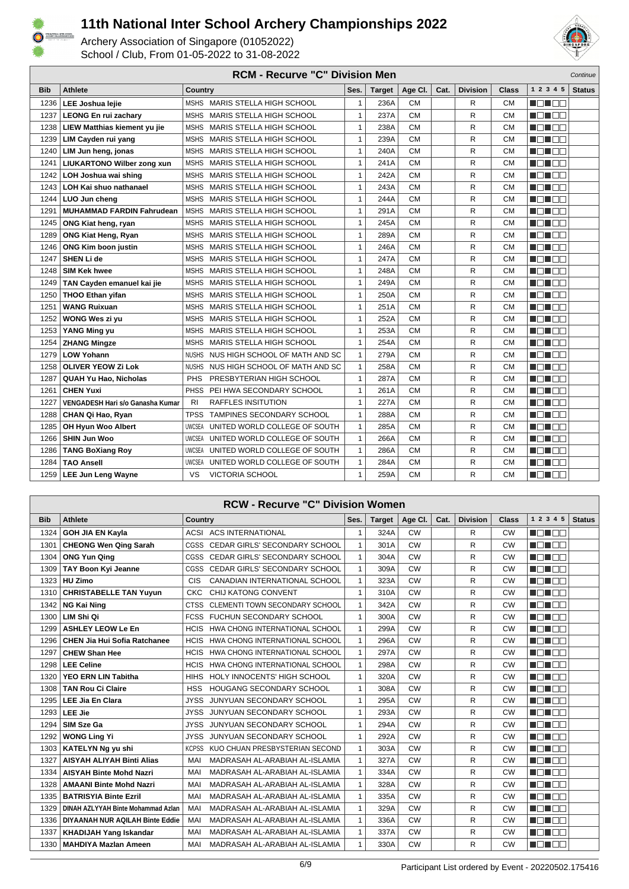



|            | <b>RCM - Recurve "C" Division Men</b><br>Continue |                                                |              |               |           |      |                 |           |              |               |  |
|------------|---------------------------------------------------|------------------------------------------------|--------------|---------------|-----------|------|-----------------|-----------|--------------|---------------|--|
| <b>Bib</b> | <b>Athlete</b>                                    | Country                                        | Ses.         | <b>Target</b> | Age Cl.   | Cat. | <b>Division</b> | Class     | 1 2 3 4 5    | <b>Status</b> |  |
| 1236       | <b>LEE Joshua lejie</b>                           | MSHS MARIS STELLA HIGH SCHOOL                  | 1            | 236A          | <b>CM</b> |      | R               | <b>CM</b> | HE EE        |               |  |
| 1237       | <b>LEONG En rui zachary</b>                       | MARIS STELLA HIGH SCHOOL<br>MSHS               | 1            | 237A          | <b>CM</b> |      | R               | <b>CM</b> | Ma Male      |               |  |
| 1238       | LIEW Matthias kiement yu jie                      | MARIS STELLA HIGH SCHOOL<br>MSHS               | 1            | 238A          | <b>CM</b> |      | R               | <b>CM</b> | N EIN EIN    |               |  |
| 1239       | LIM Cayden rui yang                               | MSHS MARIS STELLA HIGH SCHOOL                  | $\mathbf{1}$ | 239A          | <b>CM</b> |      | R               | <b>CM</b> | <b>RANDA</b> |               |  |
| 1240       | LIM Jun heng, jonas                               | MARIS STELLA HIGH SCHOOL<br><b>MSHS</b>        | $\mathbf{1}$ | 240A          | <b>CM</b> |      | R               | <b>CM</b> | MON E E      |               |  |
| 1241       | <b>LIUKARTONO Wilber zong xun</b>                 | MARIS STELLA HIGH SCHOOL<br><b>MSHS</b>        | 1            | 241A          | <b>CM</b> |      | R               | <b>CM</b> | n din se     |               |  |
| 1242       | LOH Joshua wai shing                              | <b>MSHS</b><br><b>MARIS STELLA HIGH SCHOOL</b> | 1            | 242A          | <b>CM</b> |      | R               | <b>CM</b> | MON OO       |               |  |
| 1243       | <b>LOH Kai shuo nathanael</b>                     | <b>MSHS</b><br><b>MARIS STELLA HIGH SCHOOL</b> | $\mathbf{1}$ | 243A          | <b>CM</b> |      | R               | <b>CM</b> | no noo       |               |  |
| 1244       | LUO Jun cheng                                     | <b>MSHS</b><br>MARIS STELLA HIGH SCHOOL        | 1            | 244A          | <b>CM</b> |      | R               | <b>CM</b> | MEN ER       |               |  |
| 1291       | <b>MUHAMMAD FARDIN Fahrudean</b>                  | <b>MARIS STELLA HIGH SCHOOL</b><br><b>MSHS</b> | 1            | 291A          | <b>CM</b> |      | R               | <b>CM</b> | MEN EE       |               |  |
| 1245       | ONG Kiat heng, ryan                               | MSHS MARIS STELLA HIGH SCHOOL                  | 1            | 245A          | <b>CM</b> |      | R               | <b>CM</b> | MON DE       |               |  |
| 1289       | <b>ONG Kiat Heng, Ryan</b>                        | MARIS STELLA HIGH SCHOOL<br><b>MSHS</b>        | $\mathbf{1}$ | 289A          | <b>CM</b> |      | R               | <b>CM</b> | n nin n      |               |  |
| 1246       | <b>ONG Kim boon justin</b>                        | <b>MARIS STELLA HIGH SCHOOL</b><br><b>MSHS</b> | 1            | 246A          | <b>CM</b> |      | R               | <b>CM</b> | MA NA        |               |  |
| 1247       | SHEN Li de                                        | <b>MSHS</b><br>MARIS STELLA HIGH SCHOOL        | 1            | 247A          | <b>CM</b> |      | R               | <b>CM</b> | n din se     |               |  |
| 1248       | <b>SIM Kek hwee</b>                               | MARIS STELLA HIGH SCHOOL<br><b>MSHS</b>        | $\mathbf{1}$ | 248A          | <b>CM</b> |      | R               | <b>CM</b> | NON OO       |               |  |
| 1249       | TAN Cayden emanuel kai jie                        | <b>MSHS</b><br>MARIS STELLA HIGH SCHOOL        | 1            | 249A          | <b>CM</b> |      | R               | <b>CM</b> | n na m       |               |  |
| 1250       | <b>THOO Ethan yifan</b>                           | MSHS MARIS STELLA HIGH SCHOOL                  | 1            | 250A          | <b>CM</b> |      | R               | <b>CM</b> | MON OB       |               |  |
| 1251       | <b>WANG Ruixuan</b>                               | <b>MARIS STELLA HIGH SCHOOL</b><br><b>MSHS</b> | $\mathbf{1}$ | 251A          | <b>CM</b> |      | R               | <b>CM</b> | MON OO       |               |  |
| 1252       | WONG Wes zi yu                                    | MARIS STELLA HIGH SCHOOL<br><b>MSHS</b>        | $\mathbf{1}$ | 252A          | <b>CM</b> |      | R               | <b>CM</b> | MONDE.       |               |  |
| 1253       | YANG Ming yu                                      | MARIS STELLA HIGH SCHOOL<br><b>MSHS</b>        | 1            | 253A          | <b>CM</b> |      | R               | <b>CM</b> | na nao       |               |  |
| 1254       | <b>ZHANG Mingze</b>                               | MARIS STELLA HIGH SCHOOL<br><b>MSHS</b>        | $\mathbf{1}$ | 254A          | <b>CM</b> |      | R               | <b>CM</b> | HEN EE       |               |  |
| 1279       | <b>LOW Yohann</b>                                 | <b>NUSHS</b><br>NUS HIGH SCHOOL OF MATH AND SC | $\mathbf{1}$ | 279A          | <b>CM</b> |      | R               | <b>CM</b> | Mana a       |               |  |
| 1258       | <b>OLIVER YEOW Zi Lok</b>                         | NUS HIGH SCHOOL OF MATH AND SC<br><b>NUSHS</b> | $\mathbf{1}$ | 258A          | <b>CM</b> |      | R               | <b>CM</b> | M DI BE      |               |  |
| 1287       | <b>QUAH Yu Hao, Nicholas</b>                      | PRESBYTERIAN HIGH SCHOOL<br><b>PHS</b>         | $\mathbf{1}$ | 287A          | <b>CM</b> |      | R               | <b>CM</b> | MA NA NA     |               |  |
| 1261       | <b>CHEN Yuxi</b>                                  | <b>PHSS</b><br>PEI HWA SECONDARY SCHOOL        | $\mathbf{1}$ | 261A          | <b>CM</b> |      | R               | <b>CM</b> | nd i de      |               |  |
| 1227       | <b>VENGADESH Hari s/o Ganasha Kumar</b>           | <b>RAFFLES INSITUTION</b><br><b>RI</b>         | 1            | 227A          | <b>CM</b> |      | R               | <b>CM</b> | Mahal Bila   |               |  |
| 1288       | CHAN Qi Hao, Ryan                                 | <b>TPSS</b><br>TAMPINES SECONDARY SCHOOL       | 1            | 288A          | <b>CM</b> |      | R               | <b>CM</b> | NO NOO       |               |  |
| 1285       | OH Hyun Woo Albert                                | <b>UWCSEA</b><br>UNITED WORLD COLLEGE OF SOUTH | 1            | 285A          | <b>CM</b> |      | R               | <b>CM</b> | N N N N N N  |               |  |
| 1266       | <b>SHIN Jun Woo</b>                               | UNITED WORLD COLLEGE OF SOUTH<br><b>UWCSEA</b> | $\mathbf{1}$ | 266A          | <b>CM</b> |      | R               | <b>CM</b> | TI TIN       |               |  |
| 1286       | <b>TANG BoXiang Roy</b>                           | <b>UWCSEA</b><br>UNITED WORLD COLLEGE OF SOUTH | $\mathbf{1}$ | 286A          | <b>CM</b> |      | R               | <b>CM</b> | MEN EE       |               |  |
| 1284       | <b>TAO Ansell</b>                                 | <b>UWCSEA</b><br>UNITED WORLD COLLEGE OF SOUTH | $\mathbf{1}$ | 284A          | <b>CM</b> |      | R               | <b>CM</b> | MON DE       |               |  |
| 1259       | <b>LEE Jun Leng Wayne</b>                         | VS<br>VICTORIA SCHOOL                          | 1            | 259A          | <b>CM</b> |      | R               | <b>CM</b> | MON E O      |               |  |

|            | <b>RCW - Recurve "C" Division Women</b> |                |                                      |              |               |           |      |                 |              |                            |
|------------|-----------------------------------------|----------------|--------------------------------------|--------------|---------------|-----------|------|-----------------|--------------|----------------------------|
| <b>Bib</b> | <b>Athlete</b>                          | <b>Country</b> |                                      | Ses.         | <b>Target</b> | Age CI.   | Cat. | <b>Division</b> | <b>Class</b> | 1 2 3 4 5<br><b>Status</b> |
| 1324       | <b>GOH JIA EN Kayla</b>                 |                | ACSI ACS INTERNATIONAL               | $\mathbf{1}$ | 324A          | <b>CW</b> |      | R               | <b>CW</b>    | ME NE SE                   |
| 1301       | <b>CHEONG Wen Qing Sarah</b>            | CGSS           | <b>CEDAR GIRLS' SECONDARY SCHOOL</b> | $\mathbf{1}$ | 301A          | <b>CW</b> |      | R               | <b>CW</b>    | MA NA                      |
| 1304       | <b>ONG Yun Qing</b>                     | CGSS           | CEDAR GIRLS' SECONDARY SCHOOL        | $\mathbf{1}$ | 304A          | <b>CW</b> |      | R               | <b>CW</b>    | MA NA                      |
| 1309       | TAY Boon Kyi Jeanne                     | <b>CGSS</b>    | <b>CEDAR GIRLS' SECONDARY SCHOOL</b> | $\mathbf{1}$ | 309A          | <b>CW</b> |      | R               | <b>CW</b>    | a a sa san                 |
| 1323       | HU Zimo                                 | CIS            | CANADIAN INTERNATIONAL SCHOOL        | 1            | 323A          | <b>CW</b> |      | R               | <b>CW</b>    | UN DE L                    |
| 1310       | <b>CHRISTABELLE TAN Yuyun</b>           | CKC            | CHIJ KATONG CONVENT                  | $\mathbf{1}$ | 310A          | <b>CW</b> |      | R               | <b>CW</b>    | MA DE LA                   |
| 1342       | <b>NG Kai Ning</b>                      | <b>CTSS</b>    | CLEMENTI TOWN SECONDARY SCHOOL       | $\mathbf{1}$ | 342A          | <b>CW</b> |      | R               | CW           | n in Inn                   |
| 1300       | LIM Shi Qi                              | <b>FCSS</b>    | FUCHUN SECONDARY SCHOOL              | $\mathbf{1}$ | 300A          | <b>CW</b> |      | R               | <b>CW</b>    | man ma                     |
| 1299       | <b>ASHLEY LEOW Le En</b>                | <b>HCIS</b>    | HWA CHONG INTERNATIONAL SCHOOL       | 1            | 299A          | <b>CW</b> |      | R               | <b>CW</b>    | UN DO                      |
| 1296       | <b>CHEN Jia Hui Sofia Ratchanee</b>     | <b>HCIS</b>    | HWA CHONG INTERNATIONAL SCHOOL       | $\mathbf{1}$ | 296A          | CW        |      | R               | CW           | MA DE LA                   |
| 1297       | <b>CHEW Shan Hee</b>                    | <b>HCIS</b>    | HWA CHONG INTERNATIONAL SCHOOL       | $\mathbf{1}$ | 297A          | <b>CW</b> |      | R               | <b>CW</b>    | n din bin                  |
| 1298       | <b>LEE Celine</b>                       | <b>HCIS</b>    | HWA CHONG INTERNATIONAL SCHOOL       | $\mathbf{1}$ | 298A          | <b>CW</b> |      | R               | <b>CW</b>    | MA MAR                     |
| 1320       | <b>YEO ERN LIN Tabitha</b>              | <b>HIHS</b>    | HOLY INNOCENTS' HIGH SCHOOL          | $\mathbf{1}$ | 320A          | <b>CW</b> |      | R               | <b>CW</b>    | NO NEE                     |
| 1308       | <b>TAN Rou Ci Claire</b>                | <b>HSS</b>     | HOUGANG SECONDARY SCHOOL             | $\mathbf{1}$ | 308A          | <b>CW</b> |      | R               | <b>CW</b>    | MA DA                      |
| 1295       | <b>LEE Jia En Clara</b>                 | <b>JYSS</b>    | <b>JUNYUAN SECONDARY SCHOOL</b>      | $\mathbf{1}$ | 295A          | <b>CW</b> |      | R               | CW           | n din bin                  |
| 1293       | <b>LEE Jie</b>                          | <b>JYSS</b>    | JUNYUAN SECONDARY SCHOOL             | $\mathbf{1}$ | 293A          | <b>CW</b> |      | R               | <b>CW</b>    | MA MAR                     |
| 1294       | SIM Sze Ga                              | <b>JYSS</b>    | JUNYUAN SECONDARY SCHOOL             | $\mathbf{1}$ | 294A          | <b>CW</b> |      | R               | CW           | NG NG R                    |
| 1292       | <b>WONG Ling Yi</b>                     | <b>JYSS</b>    | JUNYUAN SECONDARY SCHOOL             | $\mathbf{1}$ | 292A          | <b>CW</b> |      | R               | <b>CW</b>    | MA NA TITO                 |
| 1303       | <b>KATELYN Ng yu shi</b>                | <b>KCPSS</b>   | KUO CHUAN PRESBYSTERIAN SECOND       | $\mathbf{1}$ | 303A          | <b>CW</b> |      | R               | CW           | n din bin                  |
| 1327       | <b>AISYAH ALIYAH Binti Alias</b>        | MAI            | MADRASAH AL-ARABIAH AL-ISLAMIA       | $\mathbf{1}$ | 327A          | <b>CW</b> |      | R               | <b>CW</b>    | MA MARIT                   |
| 1334       | <b>AISYAH Binte Mohd Nazri</b>          | <b>MAI</b>     | MADRASAH AL-ARABIAH AL-ISLAMIA       | $\mathbf{1}$ | 334A          | <b>CW</b> |      | R               | <b>CW</b>    | MEN DE                     |
| 1328       | <b>AMAANI Binte Mohd Nazri</b>          | MAI            | MADRASAH AL-ARABIAH AL-ISLAMIA       | $\mathbf{1}$ | 328A          | <b>CW</b> |      | R               | <b>CW</b>    | n na ma                    |
| 1335       | <b>BATRISYIA Binte Ezril</b>            | MAI            | MADRASAH AL-ARABIAH AL-ISLAMIA       | $\mathbf{1}$ | 335A          | <b>CW</b> |      | R               | <b>CW</b>    | n din bin                  |
| 1329       | DINAH AZLYYAH Binte Mohammad Azlan      | MAI            | MADRASAH AL-ARABIAH AL-ISLAMIA       | $\mathbf{1}$ | 329A          | <b>CW</b> |      | R               | <b>CW</b>    | MA MARIT                   |
| 1336       | DIYAANAH NUR AQILAH Binte Eddie         | MAI            | MADRASAH AL-ARABIAH AL-ISLAMIA       | $\mathbf{1}$ | 336A          | <b>CW</b> |      | R               | <b>CW</b>    | NO NEE                     |
| 1337       | <b>KHADIJAH Yang Iskandar</b>           | MAI            | MADRASAH AL-ARABIAH AL-ISLAMIA       | $\mathbf{1}$ | 337A          | <b>CW</b> |      | R               | <b>CW</b>    | U DE DE                    |
| 1330       | <b>MAHDIYA Mazlan Ameen</b>             | MAI            | MADRASAH AL-ARABIAH AL-ISLAMIA       | 1            | 330A          | <b>CW</b> |      | R               | <b>CW</b>    | n di Es                    |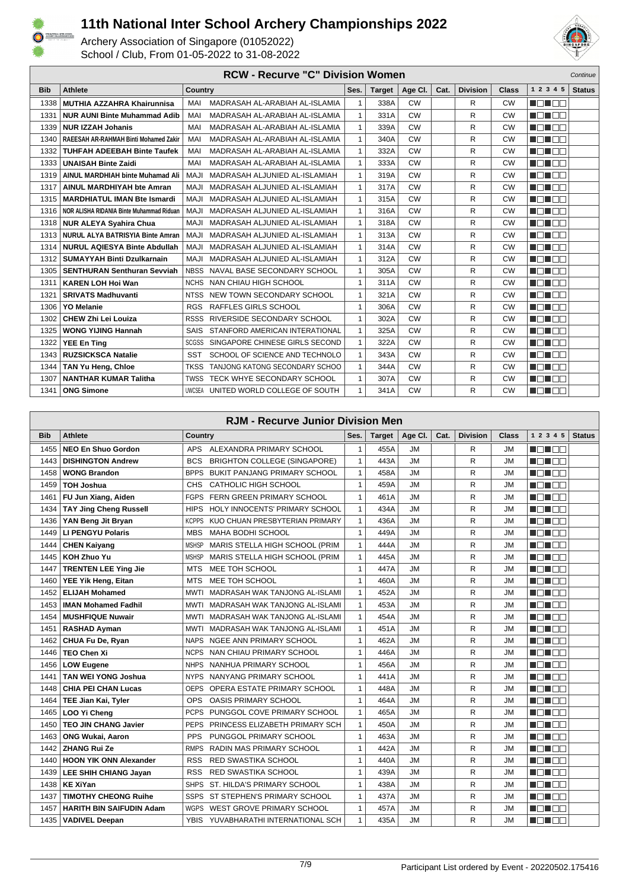



|            | <b>RCW - Recurve "C" Division Women</b><br>Continue |                                               |              |               |           |      |                 |              |             |               |  |
|------------|-----------------------------------------------------|-----------------------------------------------|--------------|---------------|-----------|------|-----------------|--------------|-------------|---------------|--|
| <b>Bib</b> | <b>Athlete</b>                                      | <b>Country</b>                                | Ses.         | <b>Target</b> | Age CI.   | Cat. | <b>Division</b> | <b>Class</b> | 1 2 3 4 5   | <b>Status</b> |  |
| 1338       | <b>MUTHIA AZZAHRA Khairunnisa</b>                   | MAI<br>MADRASAH AL-ARABIAH AL-ISLAMIA         | $\mathbf{1}$ | 338A          | <b>CW</b> |      | R               | <b>CW</b>    | Mahal S     |               |  |
| 1331       | <b>NUR AUNI Binte Muhammad Adib</b>                 | MADRASAH AL-ARABIAH AL-ISLAMIA<br>MAI         | $\mathbf{1}$ | 331A          | <b>CW</b> |      | R               | <b>CW</b>    | n nin nin   |               |  |
| 1339       | <b>NUR IZZAH Johanis</b>                            | MADRASAH AL-ARABIAH AL-ISLAMIA<br>MAI         | $\mathbf{1}$ | 339A          | <b>CW</b> |      | R               | <b>CW</b>    | MEN ER      |               |  |
| 1340       | RAEESAH AR-RAHMAH Binti Mohamed Zakir               | MADRASAH AL-ARABIAH AL-ISLAMIA<br>MAI         | $\mathbf{1}$ | 340A          | <b>CW</b> |      | R               | <b>CW</b>    | a di Biblio |               |  |
| 1332       | <b>TUHFAH ADEEBAH Binte Taufek</b>                  | MADRASAH AL-ARABIAH AL-ISLAMIA<br>MAI         | $\mathbf{1}$ | 332A          | <b>CW</b> |      | R               | <b>CW</b>    | MA MAR      |               |  |
| 1333       | <b>UNAISAH Binte Zaidi</b>                          | MAI<br>MADRASAH AL-ARABIAH AL-ISLAMIA         | $\mathbf{1}$ | 333A          | <b>CW</b> |      | R               | <b>CW</b>    | Mahal Bila  |               |  |
| 1319       | AINUL MARDHIAH binte Muhamad Ali                    | MADRASAH ALJUNIED AL-ISLAMIAH<br>MAJI         | 1            | 319A          | <b>CW</b> |      | R               | <b>CW</b>    | M DI DE     |               |  |
| 1317       | <b>AINUL MARDHIYAH bte Amran</b>                    | MADRASAH ALJUNIED AL-ISLAMIAH<br>MAJI         | $\mathbf{1}$ | 317A          | <b>CW</b> |      | R               | <b>CW</b>    | UN DE L     |               |  |
| 1315       | <b>MARDHIATUL IMAN Bte Ismardi</b>                  | MADRASAH ALJUNIED AL-ISLAMIAH<br><b>MAJI</b>  | $\mathbf{1}$ | 315A          | <b>CW</b> |      | R               | <b>CW</b>    | MA MAR      |               |  |
| 1316       | NOR ALISHA RIDANIA Binte Muhammad Riduan            | MADRASAH ALJUNIED AL-ISLAMIAH<br><b>MAJI</b>  | $\mathbf{1}$ | 316A          | <b>CW</b> |      | R               | <b>CW</b>    | MA NA MA    |               |  |
| 1318       | <b>NUR ALEYA Syahira Chua</b>                       | MADRASAH ALJUNIED AL-ISLAMIAH<br>MAJI         | $\mathbf{1}$ | 318A          | CW        |      | R               | <b>CW</b>    | MA MAR      |               |  |
| 1313       | NURUL ALYA BATRISYIA Binte Amran                    | MADRASAH ALJUNIED AL-ISLAMIAH<br>MAJI         | $\mathbf{1}$ | 313A          | CW        |      | R               | <b>CW</b>    | n na man    |               |  |
| 1314       | <b>NURUL AQIESYA Binte Abdullah</b>                 | <b>MAJI</b><br>MADRASAH ALJUNIED AL-ISLAMIAH  | $\mathbf{1}$ | 314A          | <b>CW</b> |      | R               | <b>CW</b>    | MA NA T     |               |  |
| 1312       | SUMAYYAH Binti Dzulkarnain                          | MADRASAH ALJUNIED AL-ISLAMIAH<br>MAJI         | 1            | 312A          | <b>CW</b> |      | R               | <b>CW</b>    | n din Bib   |               |  |
| 1305       | <b>SENTHURAN Senthuran Sevviah</b>                  | <b>NBSS</b><br>NAVAL BASE SECONDARY SCHOOL    | $\mathbf{1}$ | 305A          | CW        |      | R               | <b>CW</b>    | U DI BE     |               |  |
| 1311       | <b>KAREN LOH Hoi Wan</b>                            | NCHS NAN CHIAU HIGH SCHOOL                    | $\mathbf{1}$ | 311A          | <b>CW</b> |      | R               | <b>CW</b>    | MA NA TITO  |               |  |
| 1321       | <b>SRIVATS Madhuvanti</b>                           | <b>NTSS</b><br>NEW TOWN SECONDARY SCHOOL      | $\mathbf{1}$ | 321A          | <b>CW</b> |      | R               | <b>CW</b>    | MA MAR      |               |  |
| 1306       | <b>YO Melanie</b>                                   | RAFFLES GIRLS SCHOOL<br><b>RGS</b>            | 1            | 306A          | CW        |      | R               | <b>CW</b>    | MA MARIT    |               |  |
| 1302       | <b>CHEW Zhi Lei Louiza</b>                          | RSSS RIVERSIDE SECONDARY SCHOOL               | $\mathbf{1}$ | 302A          | CW        |      | R               | <b>CW</b>    | NG NG R     |               |  |
| 1325       | <b>WONG YIJING Hannah</b>                           | STANFORD AMERICAN INTERATIONAL<br><b>SAIS</b> | $\mathbf{1}$ | 325A          | <b>CW</b> |      | R               | <b>CW</b>    | MA NA TITO  |               |  |
| 1322       | <b>YEE En Ting</b>                                  | SCGSS SINGAPORE CHINESE GIRLS SECOND          | $\mathbf{1}$ | 322A          | <b>CW</b> |      | R               | <b>CW</b>    | MEN E E     |               |  |
| 1343       | <b>RUZSICKSCA Natalie</b>                           | SCHOOL OF SCIENCE AND TECHNOLO<br><b>SST</b>  | $\mathbf{1}$ | 343A          | CW        |      | R               | <b>CW</b>    | n din Bib   |               |  |
| 1344       | TAN Yu Heng, Chloe                                  | TKSS TANJONG KATONG SECONDARY SCHOO           | $\mathbf{1}$ | 344A          | <b>CW</b> |      | R               | <b>CW</b>    | MEN ER      |               |  |
| 1307       | <b>NANTHAR KUMAR Talitha</b>                        | TECK WHYE SECONDARY SCHOOL<br>TWSS            | $\mathbf{1}$ | 307A          | <b>CW</b> |      | R               | <b>CW</b>    | NA NA TITO  |               |  |
| 1341       | <b>ONG Simone</b>                                   | UWCSEA UNITED WORLD COLLEGE OF SOUTH          | 1            | 341A          | <b>CW</b> |      | R               | <b>CW</b>    | N EN SE     |               |  |

|            | <b>RJM - Recurve Junior Division Men</b> |                                                   |              |               |           |      |                 |           |                     |               |
|------------|------------------------------------------|---------------------------------------------------|--------------|---------------|-----------|------|-----------------|-----------|---------------------|---------------|
| <b>Bib</b> | <b>Athlete</b>                           | Country                                           | Ses.         | <b>Target</b> | Age Cl.   | Cat. | <b>Division</b> | Class     | 1 2 3 4 5           | <b>Status</b> |
| 1455       | <b>NEO En Shuo Gordon</b>                | APS<br>ALEXANDRA PRIMARY SCHOOL                   | $\mathbf{1}$ | 455A          | JM        |      | R               | <b>JM</b> | MA MARIT            |               |
| 1443       | <b>DISHINGTON Andrew</b>                 | <b>BCS</b><br><b>BRIGHTON COLLEGE (SINGAPORE)</b> | $\mathbf{1}$ | 443A          | <b>JM</b> |      | R               | <b>JM</b> | MON OB              |               |
| 1458       | <b>WONG Brandon</b>                      | BPPS BUKIT PANJANG PRIMARY SCHOOL                 | $\mathbf{1}$ | 458A          | <b>JM</b> |      | R               | <b>JM</b> | MA NA               |               |
| 1459       | <b>TOH Joshua</b>                        | <b>CATHOLIC HIGH SCHOOL</b><br><b>CHS</b>         | $\mathbf{1}$ | 459A          | <b>JM</b> |      | $\mathsf{R}$    | <b>JM</b> | M DI DE             |               |
| 1461       | FU Jun Xiang, Aiden                      | <b>FGPS</b><br>FERN GREEN PRIMARY SCHOOL          | $\mathbf{1}$ | 461A          | <b>JM</b> |      | R               | <b>JM</b> | n din Ele           |               |
| 1434       | <b>TAY Jing Cheng Russell</b>            | <b>HIPS</b><br>HOLY INNOCENTS' PRIMARY SCHOOL     | $\mathbf{1}$ | 434A          | <b>JM</b> |      | R               | <b>JM</b> | N DI BE             |               |
| 1436       | YAN Beng Jit Bryan                       | KUO CHUAN PRESBYTERIAN PRIMARY<br><b>KCPPS</b>    | $\mathbf{1}$ | 436A          | <b>JM</b> |      | $\mathsf{R}$    | JM        | n din Ele           |               |
| 1449       | <b>LI PENGYU Polaris</b>                 | <b>MAHA BODHI SCHOOL</b><br><b>MBS</b>            | $\mathbf{1}$ | 449A          | <b>JM</b> |      | R               | <b>JM</b> | N N N N N           |               |
| 1444       | <b>CHEN Kaiyang</b>                      | MARIS STELLA HIGH SCHOOL (PRIM<br><b>MSHSP</b>    | $\mathbf{1}$ | 444A          | <b>JM</b> |      | R               | <b>JM</b> | MA NA TITO          |               |
| 1445       | <b>KOH Zhuo Yu</b>                       | <b>MSHSP</b><br>MARIS STELLA HIGH SCHOOL (PRIM    | $\mathbf{1}$ | 445A          | <b>JM</b> |      | R               | <b>JM</b> | MA NA T             |               |
| 1447       | <b>TRENTEN LEE Ying Jie</b>              | MEE TOH SCHOOL<br>MTS.                            | $\mathbf{1}$ | 447A          | <b>JM</b> |      | R               | <b>JM</b> | n din Ele           |               |
| 1460       | YEE Yik Heng, Eitan                      | MEE TOH SCHOOL<br>MTS.                            | $\mathbf{1}$ | 460A          | <b>JM</b> |      | R               | <b>JM</b> | N ON OO             |               |
| 1452       | <b>ELIJAH Mohamed</b>                    | MADRASAH WAK TANJONG AL-ISLAMI<br>MWTI            | $\mathbf{1}$ | 452A          | <b>JM</b> |      | R               | <b>JM</b> | MA NA TITO          |               |
| 1453       | <b>IMAN Mohamed Fadhil</b>               | MWTI MADRASAH WAK TANJONG AL-ISLAMI               | $\mathbf{1}$ | 453A          | <b>JM</b> |      | R               | <b>JM</b> | TI TITIN            |               |
| 1454       | <b>MUSHFIQUE Nuwair</b>                  | MWTI MADRASAH WAK TANJONG AL-ISLAMI               | $\mathbf{1}$ | 454A          | <b>JM</b> |      | R               | <b>JM</b> | Mahal Se            |               |
| 1451       | <b>RASHAD Ayman</b>                      | MADRASAH WAK TANJONG AL-ISLAMI<br>MWTI            | $\mathbf{1}$ | 451A          | <b>JM</b> |      | R               | <b>JM</b> | Man dia             |               |
| 1462       | CHUA Fu De, Ryan                         | NAPS NGEE ANN PRIMARY SCHOOL                      | $\mathbf{1}$ | 462A          | <b>JM</b> |      | $\mathsf{R}$    | <b>JM</b> | MA NA TITO          |               |
| 1446       | <b>TEO Chen Xi</b>                       | NCPS NAN CHIAU PRIMARY SCHOOL                     | $\mathbf{1}$ | 446A          | <b>JM</b> |      | R               | <b>JM</b> | MON BEL             |               |
| 1456       | <b>LOW Eugene</b>                        | NHPS NANHUA PRIMARY SCHOOL                        | $\mathbf{1}$ | 456A          | <b>JM</b> |      | R               | JM        | n din se            |               |
| 1441       | <b>TAN WEI YONG Joshua</b>               | NYPS NANYANG PRIMARY SCHOOL                       | $\mathbf{1}$ | 441A          | <b>JM</b> |      | R               | JM        | MA DO D             |               |
| 1448       | <b>CHIA PEI CHAN Lucas</b>               | OEPS OPERA ESTATE PRIMARY SCHOOL                  | $\mathbf{1}$ | 448A          | <b>JM</b> |      | R               | <b>JM</b> | <b>NET DE</b>       |               |
| 1464       | TEE Jian Kai, Tyler                      | <b>OPS</b><br><b>OASIS PRIMARY SCHOOL</b>         | $\mathbf{1}$ | 464A          | <b>JM</b> |      | R.              | <b>JM</b> | nd i de             |               |
| 1465       | LOO Yi Chena                             | PCPS PUNGGOL COVE PRIMARY SCHOOL                  | $\mathbf{1}$ | 465A          | JM        |      | R               | <b>JM</b> | <b>RANDA</b>        |               |
| 1450       | <b>TEO JIN CHANG Javier</b>              | PEPS PRINCESS ELIZABETH PRIMARY SCH               | $\mathbf{1}$ | 450A          | <b>JM</b> |      | R               | <b>JM</b> | MON OO              |               |
| 1463       | <b>ONG Wukai, Aaron</b>                  | <b>PPS</b><br>PUNGGOL PRIMARY SCHOOL              | $\mathbf{1}$ | 463A          | <b>JM</b> |      | R               | <b>JM</b> | n din din           |               |
| 1442       | <b>ZHANG Rui Ze</b>                      | RMPS RADIN MAS PRIMARY SCHOOL                     | $\mathbf{1}$ | 442A          | <b>JM</b> |      | R               | JM        | TI TIN              |               |
| 1440       | <b>HOON YIK ONN Alexander</b>            | RED SWASTIKA SCHOOL<br>RSS.                       | $\mathbf{1}$ | 440A          | <b>JM</b> |      | R               | <b>JM</b> | MA MARI             |               |
| 1439       | LEE SHIH CHIANG Jayan                    | <b>RED SWASTIKA SCHOOL</b><br><b>RSS</b>          | $\mathbf{1}$ | 439A          | <b>JM</b> |      | $\mathsf{R}$    | <b>JM</b> | M DIN ELE           |               |
| 1438       | <b>KE XiYan</b>                          | SHPS ST. HILDA'S PRIMARY SCHOOL                   | $\mathbf{1}$ | 438A          | JM        |      | R               | <b>JM</b> | N ON OO             |               |
| 1437       | <b>TIMOTHY CHEONG Ruihe</b>              | SSPS ST STEPHEN'S PRIMARY SCHOOL                  | $\mathbf{1}$ | 437A          | <b>JM</b> |      | R               | <b>JM</b> | HEL ITE             |               |
| 1457       | <b>HARITH BIN SAIFUDIN Adam</b>          | WGPS WEST GROVE PRIMARY SCHOOL                    | $\mathbf{1}$ | 457A          | <b>JM</b> |      | R               | <b>JM</b> | - 1 - 1 - 1 - 1 - 1 |               |
|            | 1435   VADIVEL Deepan                    | YBIS YUVABHARATHI INTERNATIONAL SCH               | $\mathbf{1}$ | 435A          | <b>JM</b> |      | R               | <b>JM</b> | MON DE              |               |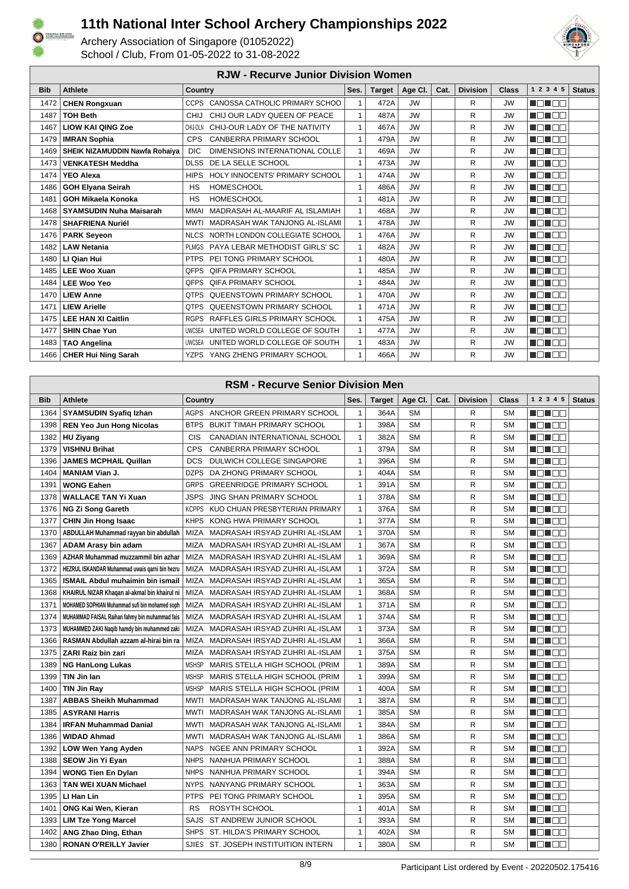



|            | <b>RJW - Recurve Junior Division Women</b> |                |                                     |              |               |           |      |                 |              |           |               |
|------------|--------------------------------------------|----------------|-------------------------------------|--------------|---------------|-----------|------|-----------------|--------------|-----------|---------------|
| <b>Bib</b> | <b>Athlete</b>                             | <b>Country</b> |                                     | Ses.         | <b>Target</b> | Age CI.   | Cat. | <b>Division</b> | <b>Class</b> | 1 2 3 4 5 | <b>Status</b> |
| 1472       | <b>CHEN Rongxuan</b>                       |                | CCPS CANOSSA CATHOLIC PRIMARY SCHOO | $\mathbf{1}$ | 472A          | <b>JW</b> |      | R               | <b>JW</b>    | MA MARI   |               |
| 1487       | <b>TOH Beth</b>                            | <b>CHIJ</b>    | CHIJ OUR LADY QUEEN OF PEACE        | 1            | 487A          | <b>JW</b> |      | R               | <b>JW</b>    | n din se  |               |
| 1467       | <b>LIOW KAI QING Zoe</b>                   | CHIJ-OLN       | CHIJ-OUR LADY OF THE NATIVITY       | $\mathbf{1}$ | 467A          | <b>JW</b> |      | R               | <b>JW</b>    | MEN E E   |               |
| 1479       | <b>IMRAN Sophia</b>                        | <b>CPS</b>     | <b>CANBERRA PRIMARY SCHOOL</b>      | $\mathbf{1}$ | 479A          | <b>JW</b> |      | R               | <b>JW</b>    | MA MARIT  |               |
| 1469       | SHEIK NIZAMUDDIN Nawfa Rohaiva             | <b>DIC</b>     | DIMENSIONS INTERNATIONAL COLLE      | $\mathbf{1}$ | 469A          | <b>JW</b> |      | R               | <b>JW</b>    | MA NA T   |               |
| 1473       | <b>VENKATESH Meddha</b>                    | <b>DLSS</b>    | DE LA SELLE SCHOOL                  | $\mathbf{1}$ | 473A          | <b>JW</b> |      | R               | <b>JW</b>    | n nin nin |               |
| 1474       | <b>YEO Alexa</b>                           | <b>HIPS</b>    | HOLY INNOCENTS' PRIMARY SCHOOL      | $\mathbf{1}$ | 474A          | <b>JW</b> |      | R               | <b>JW</b>    | MEN E E   |               |
| 1486       | <b>GOH Elyana Seirah</b>                   | <b>HS</b>      | <b>HOMESCHOOL</b>                   | $\mathbf{1}$ | 486A          | <b>JW</b> |      | R               | <b>JW</b>    | MA MARIT  |               |
| 1481       | <b>GOH Mikaela Konoka</b>                  | <b>HS</b>      | <b>HOMESCHOOL</b>                   | $\mathbf{1}$ | 481A          | <b>JW</b> |      | R               | <b>JW</b>    | MON E E   |               |
| 1468       | <b>SYAMSUDIN Nuha Maisarah</b>             | <b>MMAI</b>    | MADRASAH AL-MAARIF AL ISLAMIAH      | $\mathbf{1}$ | 468A          | <b>JW</b> |      | R               | <b>JW</b>    | MONDE     |               |
| 1478       | <b>SHAFRIENA Nuriél</b>                    | <b>MWTI</b>    | MADRASAH WAK TANJONG AL-ISLAMI      | $\mathbf{1}$ | 478A          | <b>JW</b> |      | R               | <b>JW</b>    | MON OO    |               |
| 1476       | <b>PARK Seyeon</b>                         |                | NLCS NORTH LONDON COLLEGIATE SCHOOL | $\mathbf{1}$ | 476A          | <b>JW</b> |      | R               | <b>JW</b>    | MA MARIT  |               |
| 1482       | <b>LAW Netania</b>                         | <b>PLMGS</b>   | PAYA LEBAR METHODIST GIRLS' SC      | $\mathbf{1}$ | 482A          | <b>JW</b> |      | R               | <b>JW</b>    | MON E E   |               |
| 1480       | LI Qian Hui                                |                | PTPS PEI TONG PRIMARY SCHOOL        | $\mathbf{1}$ | 480A          | <b>JW</b> |      | R               | <b>JW</b>    | MON OO    |               |
| 1485       | <b>LEE Woo Xuan</b>                        | <b>OFPS</b>    | <b>QIFA PRIMARY SCHOOL</b>          | 1            | 485A          | <b>JW</b> |      | R               | <b>JW</b>    | N EN EE   |               |
| 1484       | <b>LEE Woo Yeo</b>                         |                | QFPS QIFA PRIMARY SCHOOL            | 1            | 484A          | <b>JW</b> |      | R               | <b>JW</b>    | MA MARIT  |               |
| 1470       | <b>LIEW Anne</b>                           | <b>OTPS</b>    | <b>QUEENSTOWN PRIMARY SCHOOL</b>    | 1            | 470A          | <b>JW</b> |      | R               | <b>JW</b>    | MA NA T   |               |
| 1471       | <b>LIEW Arielle</b>                        |                | QTPS QUEENSTOWN PRIMARY SCHOOL      | 1            | 471A          | <b>JW</b> |      | R               | <b>JW</b>    | MA NA T   |               |
| 1475       | <b>LEE HAN XI Caitlin</b>                  | <b>RGPS</b>    | RAFFLES GIRLS PRIMARY SCHOOL        | 1            | 475A          | <b>JW</b> |      | R               | <b>JW</b>    | MA DA     |               |
| 1477       | <b>SHIN Chae Yun</b>                       | <b>UWCSEA</b>  | UNITED WORLD COLLEGE OF SOUTH       | $\mathbf{1}$ | 477A          | <b>JW</b> |      | R               | <b>JW</b>    | MA MARIT  |               |
| 1483       | <b>TAO Angelina</b>                        | <b>UWCSEA</b>  | UNITED WORLD COLLEGE OF SOUTH       | $\mathbf{1}$ | 483A          | <b>JW</b> |      | R               | <b>JW</b>    | MA MARI   |               |
|            | 1466   CHER Hui Ning Sarah                 |                | YZPS YANG ZHENG PRIMARY SCHOOL      | 1            | 466A          | <b>JW</b> |      | R               | <b>JW</b>    | MEN E E   |               |

|            | <b>RSM - Recurve Senior Division Men</b>       |              |                                       |              |               |           |      |                 |              |             |               |
|------------|------------------------------------------------|--------------|---------------------------------------|--------------|---------------|-----------|------|-----------------|--------------|-------------|---------------|
| <b>Bib</b> | <b>Athlete</b>                                 | Country      |                                       | Ses.         | <b>Target</b> | Age CI.   | Cat. | <b>Division</b> | <b>Class</b> | 1 2 3 4 5   | <b>Status</b> |
| 1364       | <b>SYAMSUDIN Syafiq Izhan</b>                  |              | AGPS ANCHOR GREEN PRIMARY SCHOOL      | $\mathbf{1}$ | 364A          | SΜ        |      | R               | <b>SM</b>    | N DI BE     |               |
| 1398       | <b>REN Yeo Jun Hong Nicolas</b>                | <b>BTPS</b>  | BUKIT TIMAH PRIMARY SCHOOL            | $\mathbf{1}$ | 398A          | <b>SM</b> |      | R               | <b>SM</b>    | M DI OO     |               |
| 1382       | <b>HU Ziyang</b>                               | CIS          | CANADIAN INTERNATIONAL SCHOOL         | 1            | 382A          | <b>SM</b> |      | R               | <b>SM</b>    | MEN E E     |               |
| 1379       | <b>VISHNU Brihat</b>                           | <b>CPS</b>   | CANBERRA PRIMARY SCHOOL               | $\mathbf{1}$ | 379A          | <b>SM</b> |      | R               | <b>SM</b>    | n di Es     |               |
| 1396       | <b>JAMES MCPHAIL Quillan</b>                   | <b>DCS</b>   | DULWICH COLLEGE SINGAPORE             | $\mathbf{1}$ | 396A          | <b>SM</b> |      | R               | <b>SM</b>    | n di Be     |               |
| 1404       | <b>MANIAM Vian J.</b>                          | <b>DZPS</b>  | DA ZHONG PRIMARY SCHOOL               | $\mathbf{1}$ | 404A          | <b>SM</b> |      | R               | <b>SM</b>    | MEN E E     |               |
| 1391       | <b>WONG Eahen</b>                              | <b>GRPS</b>  | <b>GREENRIDGE PRIMARY SCHOOL</b>      | 1            | 391A          | <b>SM</b> |      | R               | <b>SM</b>    | N EN E E    |               |
| 1378       | <b>WALLACE TAN Yi Xuan</b>                     | <b>JSPS</b>  | <b>JING SHAN PRIMARY SCHOOL</b>       | $\mathbf{1}$ | 378A          | <b>SM</b> |      | R               | <b>SM</b>    | MENTE E     |               |
| 1376       | <b>NG Zi Song Gareth</b>                       | <b>KCPPS</b> | KUO CHUAN PRESBYTERIAN PRIMARY        | $\mathbf{1}$ | 376A          | <b>SM</b> |      | R               | <b>SM</b>    | HE HE       |               |
| 1377       | <b>CHIN Jin Hong Isaac</b>                     |              | KHPS KONG HWA PRIMARY SCHOOL          | $\mathbf{1}$ | 377A          | <b>SM</b> |      | R               | <b>SM</b>    | MEN E E     |               |
| 1370       | ABDULLAH Muhammad rayyan bin abdullah          | MIZA         | MADRASAH IRSYAD ZUHRI AL-ISLAM        | $\mathbf{1}$ | 370A          | <b>SM</b> |      | R               | <b>SM</b>    | N ON OO     |               |
| 1367       | <b>ADAM Arasy bin adam</b>                     | MIZA         | MADRASAH IRSYAD ZUHRI AL-ISLAM        | $\mathbf{1}$ | 367A          | <b>SM</b> |      | R               | <b>SM</b>    | n di Ee     |               |
| 1369       | AZHAR Muhammad muzzammil bin azhar             | <b>MIZA</b>  | MADRASAH IRSYAD ZUHRI AL-ISLAM        | $\mathbf{1}$ | 369A          | <b>SM</b> |      | R               | <b>SM</b>    | HE 199      |               |
| 1372       | HEZRUL ISKANDAR Muhammad uwais garni bin hezru | MIZA         | MADRASAH IRSYAD ZUHRI AL-ISLAM        | $\mathbf{1}$ | 372A          | <b>SM</b> |      | R               | <b>SM</b>    | MEN E E     |               |
| 1365       | <b>ISMAIL Abdul muhaimin bin ismail</b>        | <b>MIZA</b>  | MADRASAH IRSYAD ZUHRI AL-ISLAM        | $\mathbf{1}$ | 365A          | <b>SM</b> |      | R               | <b>SM</b>    | MENTE E     |               |
| 1368       | KHAIRUL NIZAR Khaqan al-akmal bin khairul ni   | MIZA         | MADRASAH IRSYAD ZUHRI AL-ISLAM        | $\mathbf{1}$ | 368A          | <b>SM</b> |      | R               | <b>SM</b>    | n En En     |               |
| 1371       | MOHAMED SOPHIAN Muhammad sufi bin mohamed soph | MIZA         | MADRASAH IRSYAD ZUHRI AL-ISLAM        | $\mathbf{1}$ | 371A          | <b>SM</b> |      | R               | <b>SM</b>    | HE 1999     |               |
| 1374       | MUHAMMAD FAISAL Raihan fahmy bin muhammad fais |              | MIZA MADRASAH IRSYAD ZUHRI AL-ISLAM   | $\mathbf{1}$ | 374A          | <b>SM</b> |      | R               | <b>SM</b>    | H 88        |               |
| 1373       | MUHAMMED ZAKI Naqib hamdy bin muhammed zaki    | MIZA         | MADRASAH IRSYAD ZUHRI AL-ISLAM        | $\mathbf{1}$ | 373A          | <b>SM</b> |      | R               | <b>SM</b>    | TE TE E     |               |
| 1366       | RASMAN Abdullah azzam al-hirai bin ra          | MIZA         | MADRASAH IRSYAD ZUHRI AL-ISLAM        | $\mathbf{1}$ | 366A          | <b>SM</b> |      | R               | <b>SM</b>    | n dhee      |               |
| 1375       | ZARI Raiz bin zari                             | MIZA         | MADRASAH IRSYAD ZUHRI AL-ISLAM        | $\mathbf{1}$ | 375A          | <b>SM</b> |      | R               | <b>SM</b>    | HE 1999     |               |
| 1389       | <b>NG HanLong Lukas</b>                        | <b>MSHSP</b> | MARIS STELLA HIGH SCHOOL (PRIM        | $\mathbf{1}$ | 389A          | <b>SM</b> |      | R               | <b>SM</b>    | MON OO      |               |
| 1399       | TIN Jin Ian                                    | <b>MSHSP</b> | MARIS STELLA HIGH SCHOOL (PRIM        | $\mathbf{1}$ | 399A          | <b>SM</b> |      | R               | <b>SM</b>    | N EN E E    |               |
| 1400       | <b>TIN Jin Ray</b>                             |              | MSHSP MARIS STELLA HIGH SCHOOL (PRIM  | $\mathbf{1}$ | 400A          | <b>SM</b> |      | R               | <b>SM</b>    | MA NA TITO  |               |
| 1387       | <b>ABBAS Sheikh Muhammad</b>                   |              | MWTI MADRASAH WAK TANJONG AL-ISLAMI   | $\mathbf{1}$ | 387A          | <b>SM</b> |      | R               | <b>SM</b>    | - 8 - 8 -   |               |
| 1385       | <b>ASYRANI Harris</b>                          |              | MWTI MADRASAH WAK TANJONG AL-ISLAMI   | $\mathbf{1}$ | 385A          | <b>SM</b> |      | R               | <b>SM</b>    | MON OO      |               |
| 1384       | <b>IRFAN Muhammad Danial</b>                   |              | MWTI MADRASAH WAK TANJONG AL-ISLAMI   | $\mathbf{1}$ | 384A          | <b>SM</b> |      | R               | <b>SM</b>    | TE TE E     |               |
| 1386       | <b>WIDAD Ahmad</b>                             | MWTI         | MADRASAH WAK TANJONG AL-ISLAMI        | $\mathbf{1}$ | 386A          | <b>SM</b> |      | R               | <b>SM</b>    | MA NA NA    |               |
| 1392       | <b>LOW Wen Yang Ayden</b>                      | <b>NAPS</b>  | NGEE ANN PRIMARY SCHOOL               | $\mathbf{1}$ | 392A          | <b>SM</b> |      | R               | <b>SM</b>    | n di Be     |               |
| 1388       | SEOW Jin Yi Eyan                               | <b>NHPS</b>  | NANHUA PRIMARY SCHOOL                 | $\mathbf{1}$ | 388A          | <b>SM</b> |      | R               | <b>SM</b>    | M DI OO     |               |
| 1394       | <b>WONG Tien En Dylan</b>                      | <b>NHPS</b>  | NANHUA PRIMARY SCHOOL                 | $\mathbf{1}$ | 394A          | <b>SM</b> |      | R               | <b>SM</b>    | N EN E E    |               |
| 1363       | <b>TAN WEI XUAN Michael</b>                    | <b>NYPS</b>  | NANYANG PRIMARY SCHOOL                | $\mathbf{1}$ | 363A          | <b>SM</b> |      | R               | <b>SM</b>    | MA NA T     |               |
| 1395       | LI Han Lin                                     | <b>PTPS</b>  | PEI TONG PRIMARY SCHOOL               | $\mathbf{1}$ | 395A          | <b>SM</b> |      | R               | <b>SM</b>    |             |               |
| 1401       | ONG Kai Wen, Kieran                            | RS           | ROSYTH SCHOOL                         | $\mathbf{1}$ | 401A          | SM        |      | R               | <b>SM</b>    |             |               |
| 1393       | <b>LIM Tze Yong Marcel</b>                     |              | SAJS ST ANDREW JUNIOR SCHOOL          | $\mathbf{1}$ | 393A          | <b>SM</b> |      | R               | <b>SM</b>    | NG NGC      |               |
| 1402       | ANG Zhao Ding, Ethan                           |              | SHPS ST. HILDA'S PRIMARY SCHOOL       | $\mathbf{1}$ | 402A          | <b>SM</b> |      | R               | <b>SM</b>    | n na man    |               |
| 1380       | <b>RONAN O'REILLY Javier</b>                   |              | SJIIES ST. JOSEPH INSTITUITION INTERN | $\mathbf{1}$ | 380A          | <b>SM</b> |      | R               | <b>SM</b>    | n din Bibli |               |